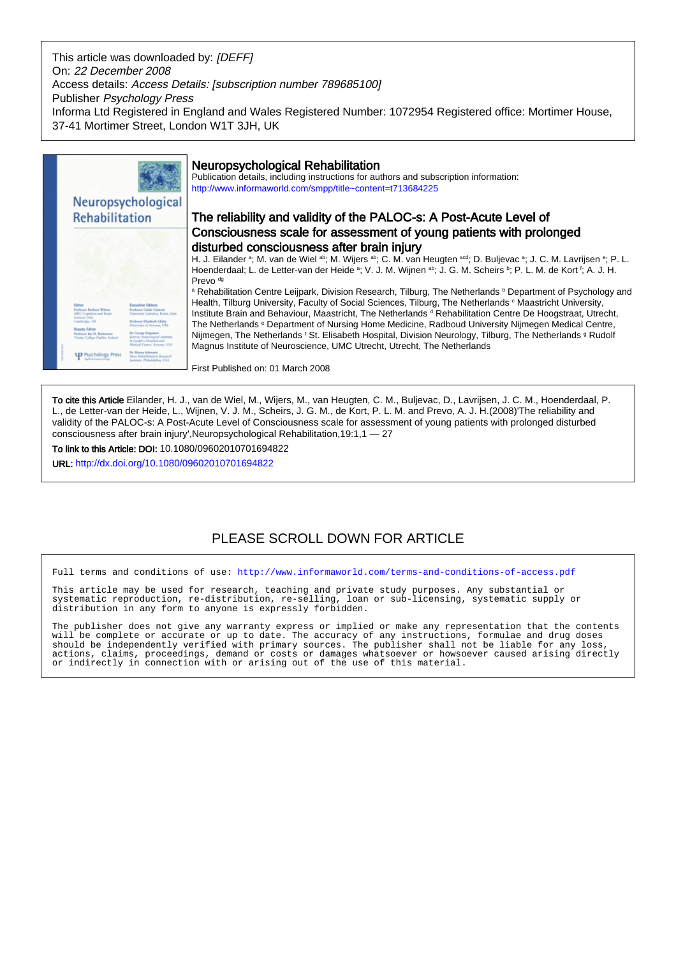This article was downloaded by: [DEFF] On: 22 December 2008 Access details: Access Details: [subscription number 789685100] Publisher Psychology Press Informa Ltd Registered in England and Wales Registered Number: 1072954 Registered office: Mortimer House, 37-41 Mortimer Street, London W1T 3JH, UK



To cite this Article Eilander, H. J., van de Wiel, M., Wijers, M., van Heugten, C. M., Buljevac, D., Lavrijsen, J. C. M., Hoenderdaal, P. L., de Letter-van der Heide, L., Wijnen, V. J. M., Scheirs, J. G. M., de Kort, P. L. M. and Prevo, A. J. H.(2008)'The reliability and validity of the PALOC-s: A Post-Acute Level of Consciousness scale for assessment of young patients with prolonged disturbed consciousness after brain injury',Neuropsychological Rehabilitation,19:1,1 — 27

To link to this Article: DOI: 10.1080/09602010701694822

URL: <http://dx.doi.org/10.1080/09602010701694822>

# PLEASE SCROLL DOWN FOR ARTICLE

Full terms and conditions of use:<http://www.informaworld.com/terms-and-conditions-of-access.pdf>

This article may be used for research, teaching and private study purposes. Any substantial or systematic reproduction, re-distribution, re-selling, loan or sub-licensing, systematic supply or distribution in any form to anyone is expressly forbidden.

The publisher does not give any warranty express or implied or make any representation that the contents will be complete or accurate or up to date. The accuracy of any instructions, formulae and drug doses should be independently verified with primary sources. The publisher shall not be liable for any loss, actions, claims, proceedings, demand or costs or damages whatsoever or howsoever caused arising directly or indirectly in connection with or arising out of the use of this material.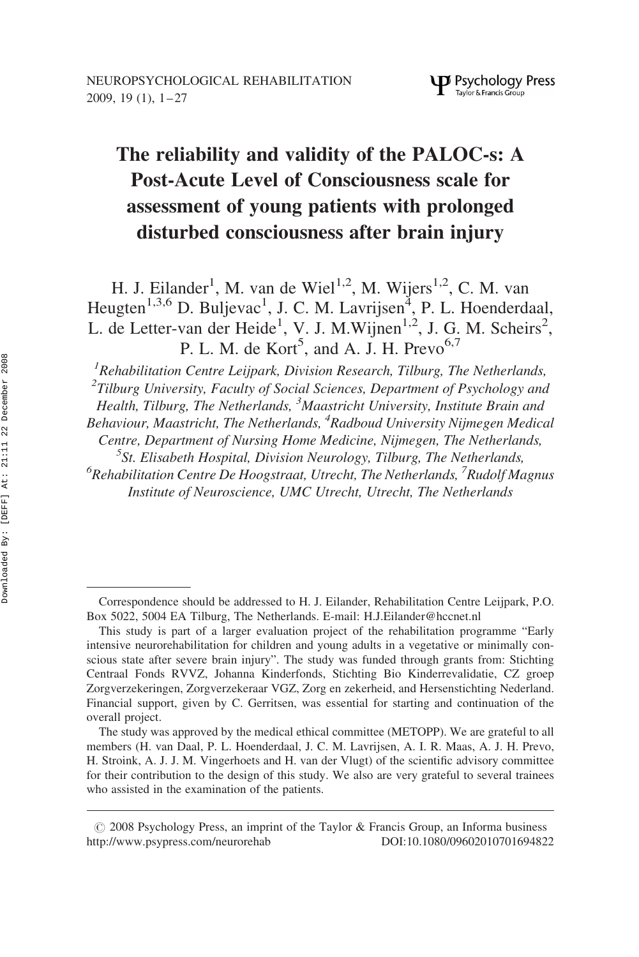# The reliability and validity of the PALOC-s: A Post-Acute Level of Consciousness scale for assessment of young patients with prolonged disturbed consciousness after brain injury

H. J. Eilander<sup>1</sup>, M. van de Wiel<sup>1,2</sup>, M. Wijers<sup>1,2</sup>, C. M. van Heugten<sup>1,3,6</sup> D. Buljevac<sup>1</sup>, J. C. M. Lavrijsen<sup>4</sup>, P. L. Hoenderdaal, L. de Letter-van der Heide<sup>1</sup>, V. J. M.Wijnen<sup>1,2</sup>, J. G. M. Scheirs<sup>2</sup>, P. L. M. de  $Kort^5$ , and A. J. H. Prevo<sup>6,7</sup>

 ${}^{1}$ Rehabilitation Centre Leijpark, Division Research, Tilburg, The Netherlands,

<sup>2</sup>Tilburg University, Faculty of Social Sciences, Department of Psychology and

Health, Tilburg, The Netherlands, <sup>3</sup>Maastricht University, Institute Brain and

Behaviour, Maastricht, The Netherlands, <sup>4</sup>Radboud University Nijmegen Medical

Centre, Department of Nursing Home Medicine, Nijmegen, The Netherlands, <sup>5</sup>

<sup>5</sup>St. Elisabeth Hospital, Division Neurology, Tilburg, The Netherlands,

 $^6$ Rehabilitation Centre De Hoogstraat, Utrecht, The Netherlands, <sup>7</sup>Rudolf Magnus Institute of Neuroscience, UMC Utrecht, Utrecht, The Netherlands

Correspondence should be addressed to H. J. Eilander, Rehabilitation Centre Leijpark, P.O. Box 5022, 5004 EA Tilburg, The Netherlands. E-mail: H.J.Eilander@hccnet.nl

This study is part of a larger evaluation project of the rehabilitation programme "Early intensive neurorehabilitation for children and young adults in a vegetative or minimally conscious state after severe brain injury". The study was funded through grants from: Stichting Centraal Fonds RVVZ, Johanna Kinderfonds, Stichting Bio Kinderrevalidatie, CZ groep Zorgverzekeringen, Zorgverzekeraar VGZ, Zorg en zekerheid, and Hersenstichting Nederland. Financial support, given by C. Gerritsen, was essential for starting and continuation of the overall project.

The study was approved by the medical ethical committee (METOPP). We are grateful to all members (H. van Daal, P. L. Hoenderdaal, J. C. M. Lavrijsen, A. I. R. Maas, A. J. H. Prevo, H. Stroink, A. J. J. M. Vingerhoets and H. van der Vlugt) of the scientific advisory committee for their contribution to the design of this study. We also are very grateful to several trainees who assisted in the examination of the patients.

 $\oslash$  2008 Psychology Press, an imprint of the Taylor & Francis Group, an Informa business http://www.psypress.com/neurorehab DOI:10.1080/09602010701694822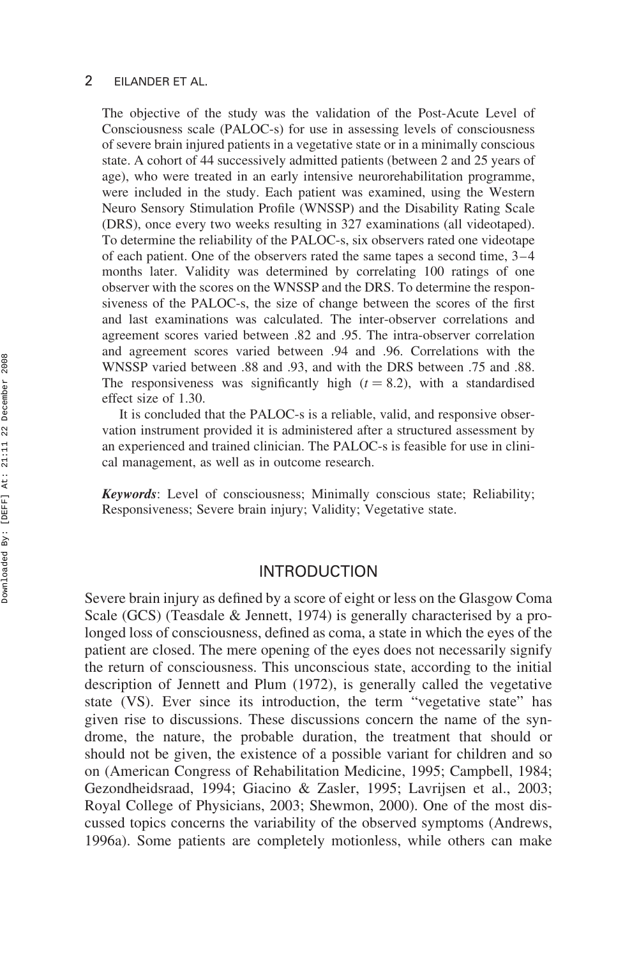### 2 EILANDER ET AL.

The objective of the study was the validation of the Post-Acute Level of Consciousness scale (PALOC-s) for use in assessing levels of consciousness of severe brain injured patients in a vegetative state or in a minimally conscious state. A cohort of 44 successively admitted patients (between 2 and 25 years of age), who were treated in an early intensive neurorehabilitation programme, were included in the study. Each patient was examined, using the Western Neuro Sensory Stimulation Profile (WNSSP) and the Disability Rating Scale (DRS), once every two weeks resulting in 327 examinations (all videotaped). To determine the reliability of the PALOC-s, six observers rated one videotape of each patient. One of the observers rated the same tapes a second time, 3–4 months later. Validity was determined by correlating 100 ratings of one observer with the scores on the WNSSP and the DRS. To determine the responsiveness of the PALOC-s, the size of change between the scores of the first and last examinations was calculated. The inter-observer correlations and agreement scores varied between .82 and .95. The intra-observer correlation and agreement scores varied between .94 and .96. Correlations with the WNSSP varied between .88 and .93, and with the DRS between .75 and .88. The responsiveness was significantly high  $(t = 8.2)$ , with a standardised effect size of 1.30.

It is concluded that the PALOC-s is a reliable, valid, and responsive observation instrument provided it is administered after a structured assessment by an experienced and trained clinician. The PALOC-s is feasible for use in clinical management, as well as in outcome research.

Keywords: Level of consciousness; Minimally conscious state; Reliability; Responsiveness; Severe brain injury; Validity; Vegetative state.

### INTRODUCTION

Severe brain injury as defined by a score of eight or less on the Glasgow Coma Scale (GCS) (Teasdale & Jennett, 1974) is generally characterised by a prolonged loss of consciousness, defined as coma, a state in which the eyes of the patient are closed. The mere opening of the eyes does not necessarily signify the return of consciousness. This unconscious state, according to the initial description of Jennett and Plum (1972), is generally called the vegetative state (VS). Ever since its introduction, the term "vegetative state" has given rise to discussions. These discussions concern the name of the syndrome, the nature, the probable duration, the treatment that should or should not be given, the existence of a possible variant for children and so on (American Congress of Rehabilitation Medicine, 1995; Campbell, 1984; Gezondheidsraad, 1994; Giacino & Zasler, 1995; Lavrijsen et al., 2003; Royal College of Physicians, 2003; Shewmon, 2000). One of the most discussed topics concerns the variability of the observed symptoms (Andrews, 1996a). Some patients are completely motionless, while others can make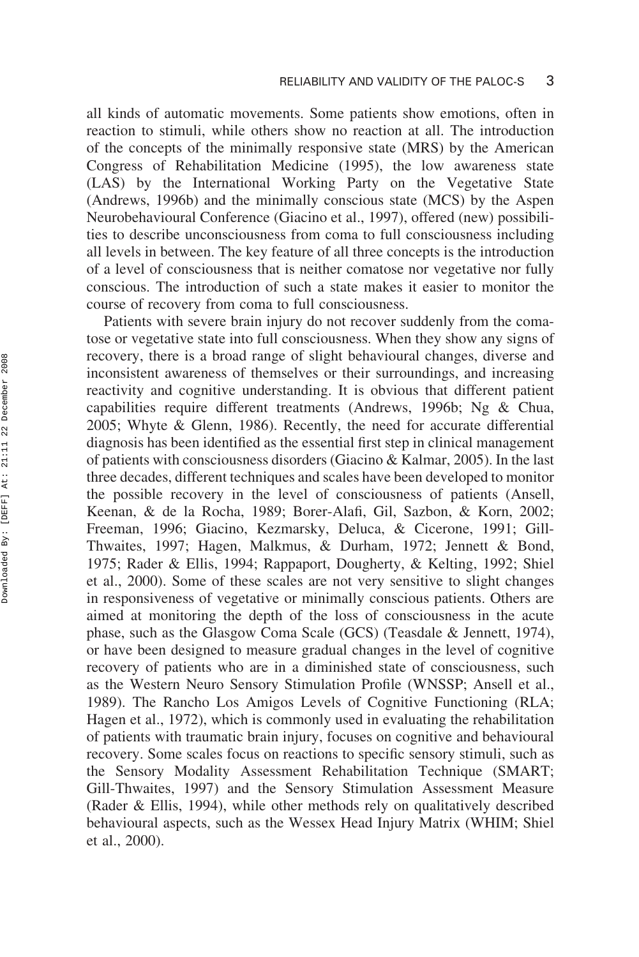all kinds of automatic movements. Some patients show emotions, often in reaction to stimuli, while others show no reaction at all. The introduction of the concepts of the minimally responsive state (MRS) by the American Congress of Rehabilitation Medicine (1995), the low awareness state (LAS) by the International Working Party on the Vegetative State (Andrews, 1996b) and the minimally conscious state (MCS) by the Aspen Neurobehavioural Conference (Giacino et al., 1997), offered (new) possibilities to describe unconsciousness from coma to full consciousness including all levels in between. The key feature of all three concepts is the introduction of a level of consciousness that is neither comatose nor vegetative nor fully conscious. The introduction of such a state makes it easier to monitor the course of recovery from coma to full consciousness.

Patients with severe brain injury do not recover suddenly from the comatose or vegetative state into full consciousness. When they show any signs of recovery, there is a broad range of slight behavioural changes, diverse and inconsistent awareness of themselves or their surroundings, and increasing reactivity and cognitive understanding. It is obvious that different patient capabilities require different treatments (Andrews, 1996b; Ng & Chua, 2005; Whyte & Glenn, 1986). Recently, the need for accurate differential diagnosis has been identified as the essential first step in clinical management of patients with consciousness disorders (Giacino & Kalmar, 2005). In the last three decades, different techniques and scales have been developed to monitor the possible recovery in the level of consciousness of patients (Ansell, Keenan, & de la Rocha, 1989; Borer-Alafi, Gil, Sazbon, & Korn, 2002; Freeman, 1996; Giacino, Kezmarsky, Deluca, & Cicerone, 1991; Gill-Thwaites, 1997; Hagen, Malkmus, & Durham, 1972; Jennett & Bond, 1975; Rader & Ellis, 1994; Rappaport, Dougherty, & Kelting, 1992; Shiel et al., 2000). Some of these scales are not very sensitive to slight changes in responsiveness of vegetative or minimally conscious patients. Others are aimed at monitoring the depth of the loss of consciousness in the acute phase, such as the Glasgow Coma Scale (GCS) (Teasdale & Jennett, 1974), or have been designed to measure gradual changes in the level of cognitive recovery of patients who are in a diminished state of consciousness, such as the Western Neuro Sensory Stimulation Profile (WNSSP; Ansell et al., 1989). The Rancho Los Amigos Levels of Cognitive Functioning (RLA; Hagen et al., 1972), which is commonly used in evaluating the rehabilitation of patients with traumatic brain injury, focuses on cognitive and behavioural recovery. Some scales focus on reactions to specific sensory stimuli, such as the Sensory Modality Assessment Rehabilitation Technique (SMART; Gill-Thwaites, 1997) and the Sensory Stimulation Assessment Measure (Rader & Ellis, 1994), while other methods rely on qualitatively described behavioural aspects, such as the Wessex Head Injury Matrix (WHIM; Shiel et al., 2000).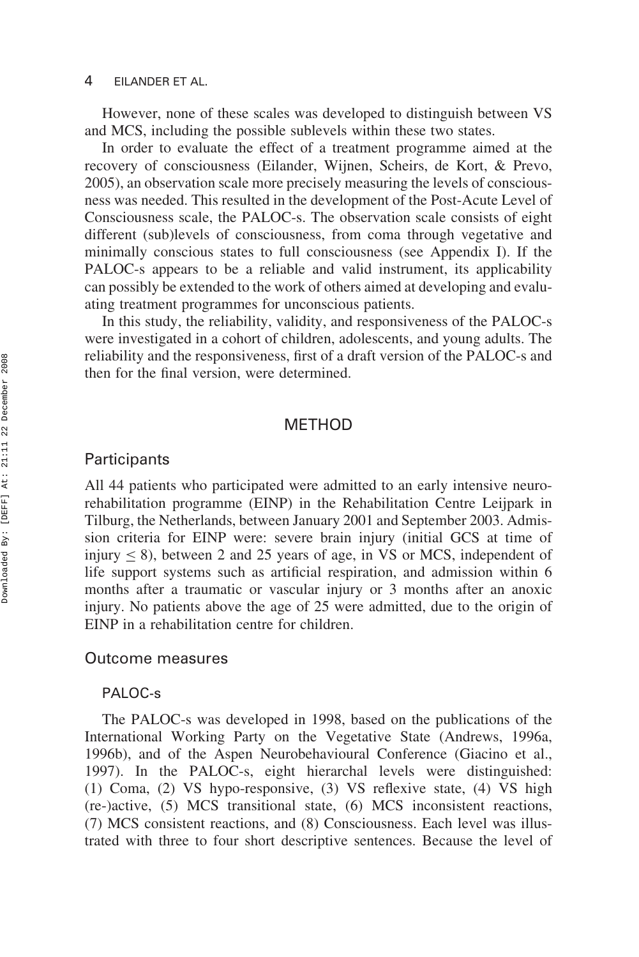### 4 EILANDER ET AL.

However, none of these scales was developed to distinguish between VS and MCS, including the possible sublevels within these two states.

In order to evaluate the effect of a treatment programme aimed at the recovery of consciousness (Eilander, Wijnen, Scheirs, de Kort, & Prevo, 2005), an observation scale more precisely measuring the levels of consciousness was needed. This resulted in the development of the Post-Acute Level of Consciousness scale, the PALOC-s. The observation scale consists of eight different (sub)levels of consciousness, from coma through vegetative and minimally conscious states to full consciousness (see Appendix I). If the PALOC-s appears to be a reliable and valid instrument, its applicability can possibly be extended to the work of others aimed at developing and evaluating treatment programmes for unconscious patients.

In this study, the reliability, validity, and responsiveness of the PALOC-s were investigated in a cohort of children, adolescents, and young adults. The reliability and the responsiveness, first of a draft version of the PALOC-s and then for the final version, were determined.

# METHOD

### **Participants**

All 44 patients who participated were admitted to an early intensive neurorehabilitation programme (EINP) in the Rehabilitation Centre Leijpark in Tilburg, the Netherlands, between January 2001 and September 2003. Admission criteria for EINP were: severe brain injury (initial GCS at time of injury  $\leq$  8), between 2 and 25 years of age, in VS or MCS, independent of life support systems such as artificial respiration, and admission within 6 months after a traumatic or vascular injury or 3 months after an anoxic injury. No patients above the age of 25 were admitted, due to the origin of EINP in a rehabilitation centre for children.

#### Outcome measures

#### PALOC-s

The PALOC-s was developed in 1998, based on the publications of the International Working Party on the Vegetative State (Andrews, 1996a, 1996b), and of the Aspen Neurobehavioural Conference (Giacino et al., 1997). In the PALOC-s, eight hierarchal levels were distinguished: (1) Coma, (2) VS hypo-responsive, (3) VS reflexive state, (4) VS high (re-)active, (5) MCS transitional state, (6) MCS inconsistent reactions, (7) MCS consistent reactions, and (8) Consciousness. Each level was illustrated with three to four short descriptive sentences. Because the level of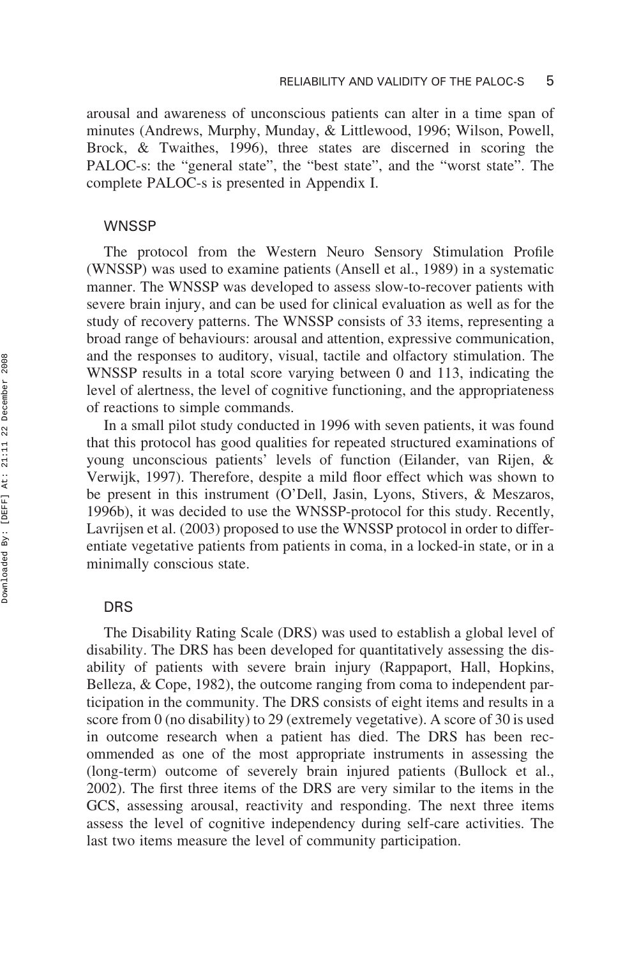arousal and awareness of unconscious patients can alter in a time span of minutes (Andrews, Murphy, Munday, & Littlewood, 1996; Wilson, Powell, Brock, & Twaithes, 1996), three states are discerned in scoring the PALOC-s: the "general state", the "best state", and the "worst state". The complete PALOC-s is presented in Appendix I.

### **WNSSP**

The protocol from the Western Neuro Sensory Stimulation Profile (WNSSP) was used to examine patients (Ansell et al., 1989) in a systematic manner. The WNSSP was developed to assess slow-to-recover patients with severe brain injury, and can be used for clinical evaluation as well as for the study of recovery patterns. The WNSSP consists of 33 items, representing a broad range of behaviours: arousal and attention, expressive communication, and the responses to auditory, visual, tactile and olfactory stimulation. The WNSSP results in a total score varying between 0 and 113, indicating the level of alertness, the level of cognitive functioning, and the appropriateness of reactions to simple commands.

In a small pilot study conducted in 1996 with seven patients, it was found that this protocol has good qualities for repeated structured examinations of young unconscious patients' levels of function (Eilander, van Rijen, & Verwijk, 1997). Therefore, despite a mild floor effect which was shown to be present in this instrument (O'Dell, Jasin, Lyons, Stivers, & Meszaros, 1996b), it was decided to use the WNSSP-protocol for this study. Recently, Lavrijsen et al. (2003) proposed to use the WNSSP protocol in order to differentiate vegetative patients from patients in coma, in a locked-in state, or in a minimally conscious state.

### DRS

The Disability Rating Scale (DRS) was used to establish a global level of disability. The DRS has been developed for quantitatively assessing the disability of patients with severe brain injury (Rappaport, Hall, Hopkins, Belleza, & Cope, 1982), the outcome ranging from coma to independent participation in the community. The DRS consists of eight items and results in a score from 0 (no disability) to 29 (extremely vegetative). A score of 30 is used in outcome research when a patient has died. The DRS has been recommended as one of the most appropriate instruments in assessing the (long-term) outcome of severely brain injured patients (Bullock et al., 2002). The first three items of the DRS are very similar to the items in the GCS, assessing arousal, reactivity and responding. The next three items assess the level of cognitive independency during self-care activities. The last two items measure the level of community participation.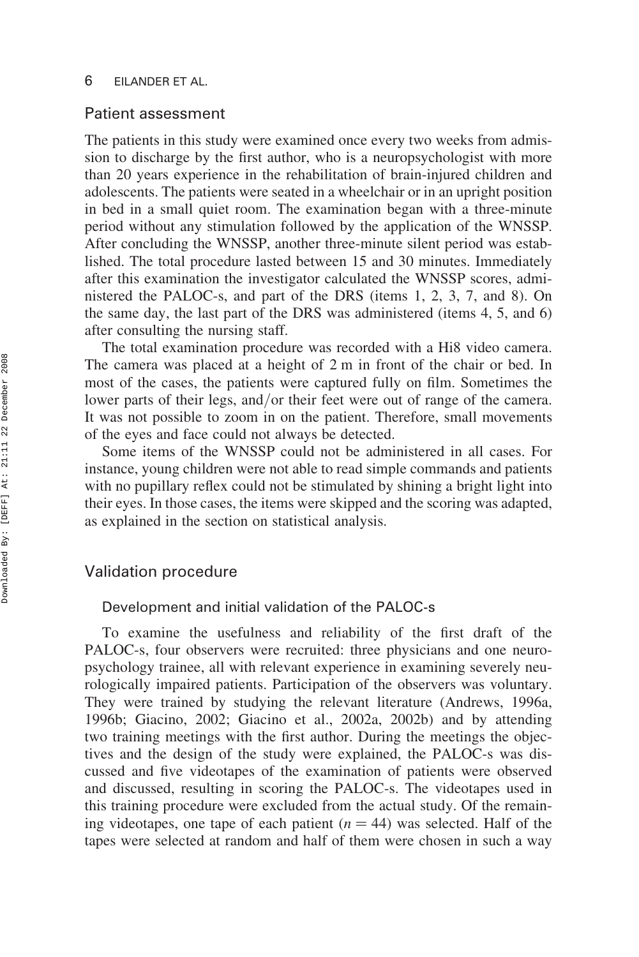### Patient assessment

The patients in this study were examined once every two weeks from admission to discharge by the first author, who is a neuropsychologist with more than 20 years experience in the rehabilitation of brain-injured children and adolescents. The patients were seated in a wheelchair or in an upright position in bed in a small quiet room. The examination began with a three-minute period without any stimulation followed by the application of the WNSSP. After concluding the WNSSP, another three-minute silent period was established. The total procedure lasted between 15 and 30 minutes. Immediately after this examination the investigator calculated the WNSSP scores, administered the PALOC-s, and part of the DRS (items 1, 2, 3, 7, and 8). On the same day, the last part of the DRS was administered (items 4, 5, and 6) after consulting the nursing staff.

The total examination procedure was recorded with a Hi8 video camera. The camera was placed at a height of 2 m in front of the chair or bed. In most of the cases, the patients were captured fully on film. Sometimes the lower parts of their legs, and/or their feet were out of range of the camera. It was not possible to zoom in on the patient. Therefore, small movements of the eyes and face could not always be detected.

Some items of the WNSSP could not be administered in all cases. For instance, young children were not able to read simple commands and patients with no pupillary reflex could not be stimulated by shining a bright light into their eyes. In those cases, the items were skipped and the scoring was adapted, as explained in the section on statistical analysis.

# Validation procedure

### Development and initial validation of the PALOC-s

To examine the usefulness and reliability of the first draft of the PALOC-s, four observers were recruited: three physicians and one neuropsychology trainee, all with relevant experience in examining severely neurologically impaired patients. Participation of the observers was voluntary. They were trained by studying the relevant literature (Andrews, 1996a, 1996b; Giacino, 2002; Giacino et al., 2002a, 2002b) and by attending two training meetings with the first author. During the meetings the objectives and the design of the study were explained, the PALOC-s was discussed and five videotapes of the examination of patients were observed and discussed, resulting in scoring the PALOC-s. The videotapes used in this training procedure were excluded from the actual study. Of the remaining videotapes, one tape of each patient ( $n = 44$ ) was selected. Half of the tapes were selected at random and half of them were chosen in such a way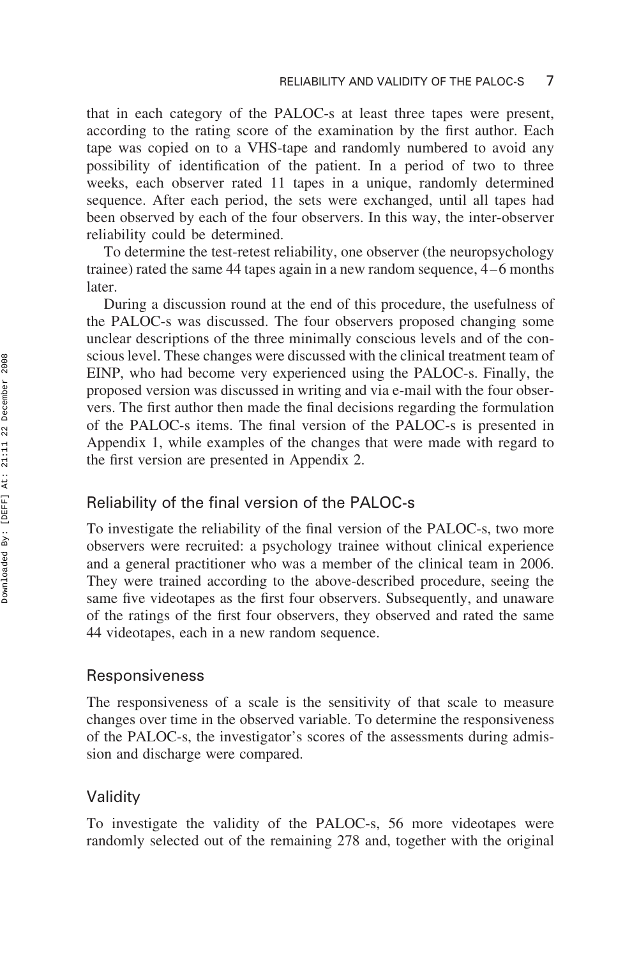that in each category of the PALOC-s at least three tapes were present, according to the rating score of the examination by the first author. Each tape was copied on to a VHS-tape and randomly numbered to avoid any possibility of identification of the patient. In a period of two to three weeks, each observer rated 11 tapes in a unique, randomly determined sequence. After each period, the sets were exchanged, until all tapes had been observed by each of the four observers. In this way, the inter-observer reliability could be determined.

To determine the test-retest reliability, one observer (the neuropsychology trainee) rated the same 44 tapes again in a new random sequence, 4–6 months later.

During a discussion round at the end of this procedure, the usefulness of the PALOC-s was discussed. The four observers proposed changing some unclear descriptions of the three minimally conscious levels and of the conscious level. These changes were discussed with the clinical treatment team of EINP, who had become very experienced using the PALOC-s. Finally, the proposed version was discussed in writing and via e-mail with the four observers. The first author then made the final decisions regarding the formulation of the PALOC-s items. The final version of the PALOC-s is presented in Appendix 1, while examples of the changes that were made with regard to the first version are presented in Appendix 2.

# Reliability of the final version of the PALOC-s

To investigate the reliability of the final version of the PALOC-s, two more observers were recruited: a psychology trainee without clinical experience and a general practitioner who was a member of the clinical team in 2006. They were trained according to the above-described procedure, seeing the same five videotapes as the first four observers. Subsequently, and unaware of the ratings of the first four observers, they observed and rated the same 44 videotapes, each in a new random sequence.

### Responsiveness

The responsiveness of a scale is the sensitivity of that scale to measure changes over time in the observed variable. To determine the responsiveness of the PALOC-s, the investigator's scores of the assessments during admission and discharge were compared.

#### Validity

To investigate the validity of the PALOC-s, 56 more videotapes were randomly selected out of the remaining 278 and, together with the original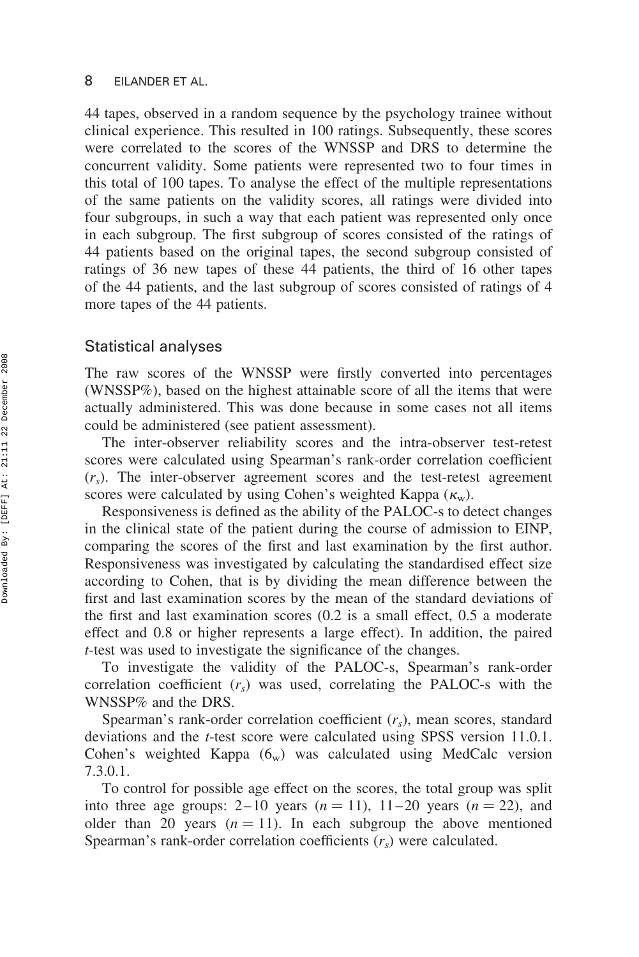44 tapes, observed in a random sequence by the psychology trainee without clinical experience. This resulted in 100 ratings. Subsequently, these scores were correlated to the scores of the WNSSP and DRS to determine the concurrent validity. Some patients were represented two to four times in this total of 100 tapes. To analyse the effect of the multiple representations of the same patients on the validity scores, all ratings were divided into four subgroups, in such a way that each patient was represented only once in each subgroup. The first subgroup of scores consisted of the ratings of 44 patients based on the original tapes, the second subgroup consisted of ratings of 36 new tapes of these 44 patients, the third of 16 other tapes of the 44 patients, and the last subgroup of scores consisted of ratings of 4 more tapes of the 44 patients.

### Statistical analyses

The raw scores of the WNSSP were firstly converted into percentages (WNSSP%), based on the highest attainable score of all the items that were actually administered. This was done because in some cases not all items could be administered (see patient assessment).

The inter-observer reliability scores and the intra-observer test-retest scores were calculated using Spearman's rank-order correlation coefficient  $(r<sub>s</sub>)$ . The inter-observer agreement scores and the test-retest agreement scores were calculated by using Cohen's weighted Kappa  $(\kappa_w)$ .

Responsiveness is defined as the ability of the PALOC-s to detect changes in the clinical state of the patient during the course of admission to EINP, comparing the scores of the first and last examination by the first author. Responsiveness was investigated by calculating the standardised effect size according to Cohen, that is by dividing the mean difference between the first and last examination scores by the mean of the standard deviations of the first and last examination scores (0.2 is a small effect, 0.5 a moderate effect and 0.8 or higher represents a large effect). In addition, the paired t-test was used to investigate the significance of the changes.

To investigate the validity of the PALOC-s, Spearman's rank-order correlation coefficient  $(r<sub>s</sub>)$  was used, correlating the PALOC-s with the WNSSP% and the DRS.

Spearman's rank-order correlation coefficient  $(r<sub>s</sub>)$ , mean scores, standard deviations and the t-test score were calculated using SPSS version 11.0.1. Cohen's weighted Kappa  $(6<sub>w</sub>)$  was calculated using MedCalc version 7.3.0.1.

To control for possible age effect on the scores, the total group was split into three age groups: 2–10 years  $(n = 11)$ , 11–20 years  $(n = 22)$ , and older than 20 years  $(n = 11)$ . In each subgroup the above mentioned Spearman's rank-order correlation coefficients  $(r<sub>s</sub>)$  were calculated.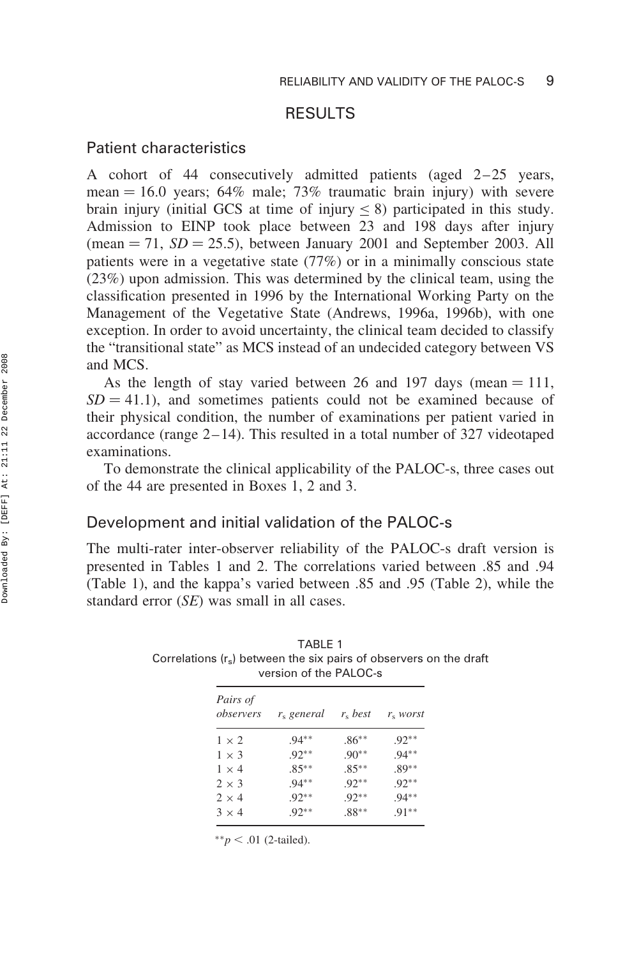# RESULTS

### Patient characteristics

A cohort of 44 consecutively admitted patients (aged  $2-25$  years, mean  $= 16.0$  years; 64% male; 73% traumatic brain injury) with severe brain injury (initial GCS at time of injury  $\lt 8$ ) participated in this study. Admission to EINP took place between 23 and 198 days after injury (mean  $= 71$ ,  $SD = 25.5$ ), between January 2001 and September 2003. All patients were in a vegetative state (77%) or in a minimally conscious state (23%) upon admission. This was determined by the clinical team, using the classification presented in 1996 by the International Working Party on the Management of the Vegetative State (Andrews, 1996a, 1996b), with one exception. In order to avoid uncertainty, the clinical team decided to classify the "transitional state" as MCS instead of an undecided category between VS and MCS.

As the length of stay varied between 26 and 197 days (mean  $= 111$ ,  $SD = 41.1$ ), and sometimes patients could not be examined because of their physical condition, the number of examinations per patient varied in accordance (range  $2-14$ ). This resulted in a total number of 327 videotaped examinations.

To demonstrate the clinical applicability of the PALOC-s, three cases out of the 44 are presented in Boxes 1, 2 and 3.

### Development and initial validation of the PALOC-s

The multi-rater inter-observer reliability of the PALOC-s draft version is presented in Tables 1 and 2. The correlations varied between .85 and .94 (Table 1), and the kappa's varied between .85 and .95 (Table 2), while the standard error (SE) was small in all cases.

| Pairs of<br>observers | $r_s$ general | $r_{s}$ best | $r_{\rm s}$ worst |
|-----------------------|---------------|--------------|-------------------|
| $1 \times 2$          | $.94**$       | $.86**$      | $.92**$           |
| $1 \times 3$          | $.92**$       | $.90**$      | $.94**$           |
| $1 \times 4$          | $.85**$       | $.85**$      | $.89**$           |
| $2 \times 3$          | $.94***$      | $.92**$      | $.92**$           |
| $2 \times 4$          | $.92**$       | $.92**$      | $.94**$           |
| $3 \times 4$          | $.92**$       | $.88***$     | $.91**$           |

TABLE 1 Correlations  $(r<sub>s</sub>)$  between the six pairs of observers on the draft version of the PALOC-s

\*\* $p < .01$  (2-tailed).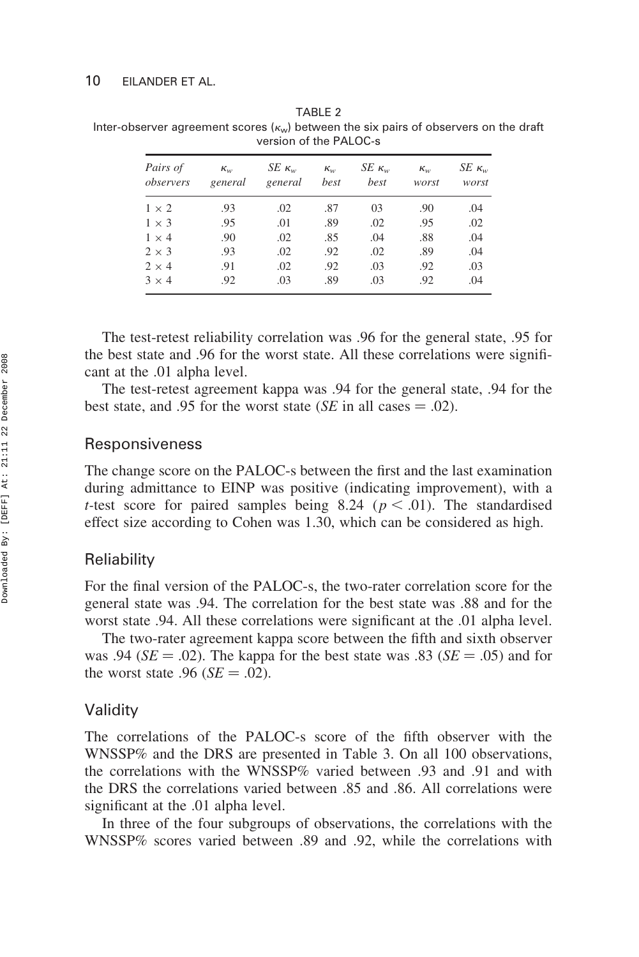| Pairs of<br>observers | $K_w$<br>general | $SE$ $\kappa_w$<br>general | $\kappa_{w}$<br>best | $SE$ $\kappa_w$<br>best | $K_w$<br>worst | $SE$ $\kappa_w$<br>worst |
|-----------------------|------------------|----------------------------|----------------------|-------------------------|----------------|--------------------------|
| $1 \times 2$          | .93              | .02                        | .87                  | 03                      | .90            | .04                      |
| $1 \times 3$          | .95              | .01                        | .89                  | .02                     | .95            | .02                      |
| $1 \times 4$          | .90              | .02                        | .85                  | .04                     | .88            | .04                      |
| $2 \times 3$          | .93              | .02                        | .92                  | .02                     | .89            | .04                      |
| $2 \times 4$          | .91              | .02                        | .92                  | .03                     | .92            | .03                      |
| $3 \times 4$          | .92              | .03                        | .89                  | .03                     | .92            | .04                      |

TABLE 2 Inter-observer agreement scores  $(k_w)$  between the six pairs of observers on the draft version of the PALOC-s

The test-retest reliability correlation was .96 for the general state, .95 for the best state and .96 for the worst state. All these correlations were significant at the .01 alpha level.

The test-retest agreement kappa was .94 for the general state, .94 for the best state, and .95 for the worst state (SE in all cases  $= .02$ ).

### Responsiveness

The change score on the PALOC-s between the first and the last examination during admittance to EINP was positive (indicating improvement), with a t-test score for paired samples being 8.24 ( $p < .01$ ). The standardised effect size according to Cohen was 1.30, which can be considered as high.

# **Reliability**

For the final version of the PALOC-s, the two-rater correlation score for the general state was .94. The correlation for the best state was .88 and for the worst state .94. All these correlations were significant at the .01 alpha level.

The two-rater agreement kappa score between the fifth and sixth observer was .94 ( $SE = .02$ ). The kappa for the best state was .83 ( $SE = .05$ ) and for the worst state  $.96$  (*SE* = .02).

### Validity

The correlations of the PALOC-s score of the fifth observer with the WNSSP% and the DRS are presented in Table 3. On all 100 observations, the correlations with the WNSSP% varied between .93 and .91 and with the DRS the correlations varied between .85 and .86. All correlations were significant at the .01 alpha level.

In three of the four subgroups of observations, the correlations with the WNSSP% scores varied between .89 and .92, while the correlations with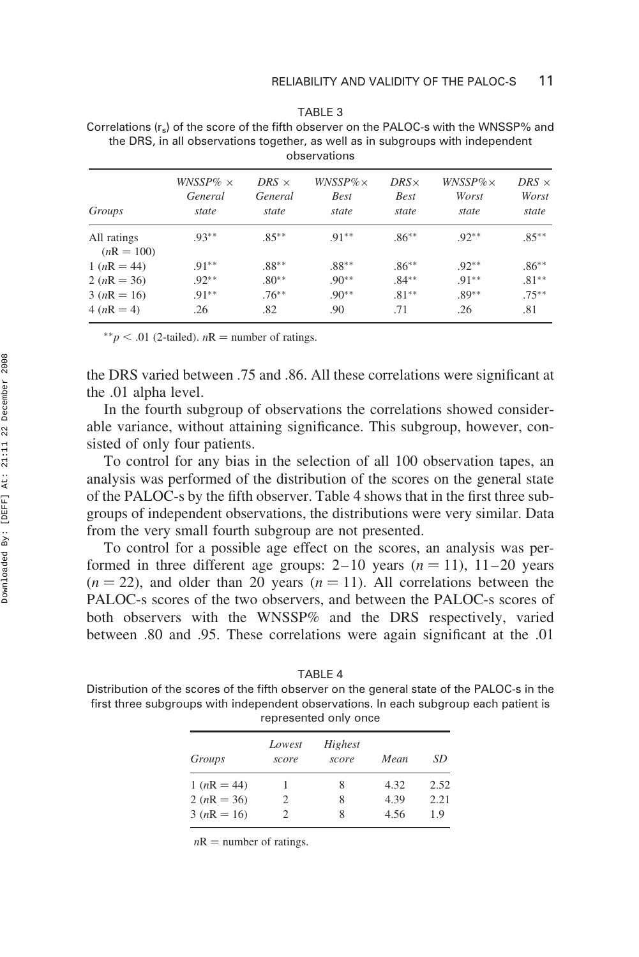| Groups                      | WNSSP% $\times$<br>General<br>state | $DRS \times$<br>General<br>state | $WNSSP\% \times$<br><b>Best</b><br>state | $DRS \times$<br><b>Best</b><br>state | $WNSSP\% \times$<br>Worst<br>state | $DRS \times$<br>Worst<br>state |
|-----------------------------|-------------------------------------|----------------------------------|------------------------------------------|--------------------------------------|------------------------------------|--------------------------------|
| All ratings<br>$(nR = 100)$ | $.93**$                             | $.85***$                         | $.91**$                                  | $.86**$                              | $.92**$                            | $.85***$                       |
| $1(nR = 44)$                | $.91**$                             | $.88***$                         | $.88**$                                  | $.86**$                              | $.92**$                            | $.86**$                        |
| 2 $(nR = 36)$               | $.92**$                             | $.80**$                          | $.90**$                                  | $.84**$                              | $.91**$                            | $.81***$                       |
| $3(nR = 16)$                | $.91**$                             | $.76***$                         | $.90**$                                  | $.81***$                             | $.89**$                            | $.75***$                       |
| $4(nR = 4)$                 | .26                                 | .82                              | .90                                      | .71                                  | .26                                | .81                            |

| TABLE 3                                                                                              |
|------------------------------------------------------------------------------------------------------|
| Correlations (r <sub>s</sub> ) of the score of the fifth observer on the PALOC-s with the WNSSP% and |
| the DRS, in all observations together, as well as in subgroups with independent                      |
| observations                                                                                         |

\*\*  $p$  < .01 (2-tailed).  $nR$  = number of ratings.

the DRS varied between .75 and .86. All these correlations were significant at the .01 alpha level.

In the fourth subgroup of observations the correlations showed considerable variance, without attaining significance. This subgroup, however, consisted of only four patients.

To control for any bias in the selection of all 100 observation tapes, an analysis was performed of the distribution of the scores on the general state of the PALOC-s by the fifth observer. Table 4 shows that in the first three subgroups of independent observations, the distributions were very similar. Data from the very small fourth subgroup are not presented.

To control for a possible age effect on the scores, an analysis was performed in three different age groups:  $2-10$  years  $(n = 11)$ ,  $11-20$  years  $(n = 22)$ , and older than 20 years  $(n = 11)$ . All correlations between the PALOC-s scores of the two observers, and between the PALOC-s scores of both observers with the WNSSP% and the DRS respectively, varied between .80 and .95. These correlations were again significant at the .01

TABLE 4 Distribution of the scores of the fifth observer on the general state of the PALOC-s in the first three subgroups with independent observations. In each subgroup each patient is represented only once

| Groups        | Lowest<br>score | Highest<br>score | Mean | SD   |
|---------------|-----------------|------------------|------|------|
| $1(nR = 44)$  |                 | 8                | 4.32 | 2.52 |
| 2 $(nR = 36)$ | $\mathfrak{D}$  | 8                | 4.39 | 2.21 |
| $3(nR = 16)$  | 2               | 8                | 4.56 | 19   |

 $nR$  = number of ratings.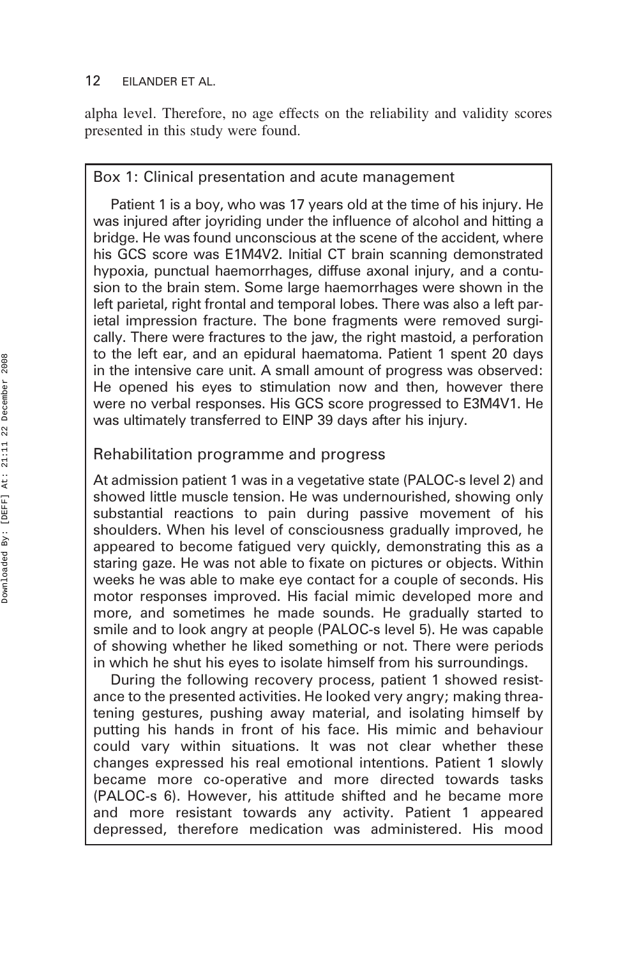alpha level. Therefore, no age effects on the reliability and validity scores presented in this study were found.

# Box 1: Clinical presentation and acute management

Patient 1 is a boy, who was 17 years old at the time of his injury. He was injured after joyriding under the influence of alcohol and hitting a bridge. He was found unconscious at the scene of the accident, where his GCS score was E1M4V2. Initial CT brain scanning demonstrated hypoxia, punctual haemorrhages, diffuse axonal injury, and a contusion to the brain stem. Some large haemorrhages were shown in the left parietal, right frontal and temporal lobes. There was also a left parietal impression fracture. The bone fragments were removed surgically. There were fractures to the jaw, the right mastoid, a perforation to the left ear, and an epidural haematoma. Patient 1 spent 20 days in the intensive care unit. A small amount of progress was observed: He opened his eyes to stimulation now and then, however there were no verbal responses. His GCS score progressed to E3M4V1. He was ultimately transferred to EINP 39 days after his injury.

# Rehabilitation programme and progress

At admission patient 1 was in a vegetative state (PALOC-s level 2) and showed little muscle tension. He was undernourished, showing only substantial reactions to pain during passive movement of his shoulders. When his level of consciousness gradually improved, he appeared to become fatigued very quickly, demonstrating this as a staring gaze. He was not able to fixate on pictures or objects. Within weeks he was able to make eye contact for a couple of seconds. His motor responses improved. His facial mimic developed more and more, and sometimes he made sounds. He gradually started to smile and to look angry at people (PALOC-s level 5). He was capable of showing whether he liked something or not. There were periods in which he shut his eyes to isolate himself from his surroundings.

During the following recovery process, patient 1 showed resistance to the presented activities. He looked very angry; making threatening gestures, pushing away material, and isolating himself by putting his hands in front of his face. His mimic and behaviour could vary within situations. It was not clear whether these changes expressed his real emotional intentions. Patient 1 slowly became more co-operative and more directed towards tasks (PALOC-s 6). However, his attitude shifted and he became more and more resistant towards any activity. Patient 1 appeared depressed, therefore medication was administered. His mood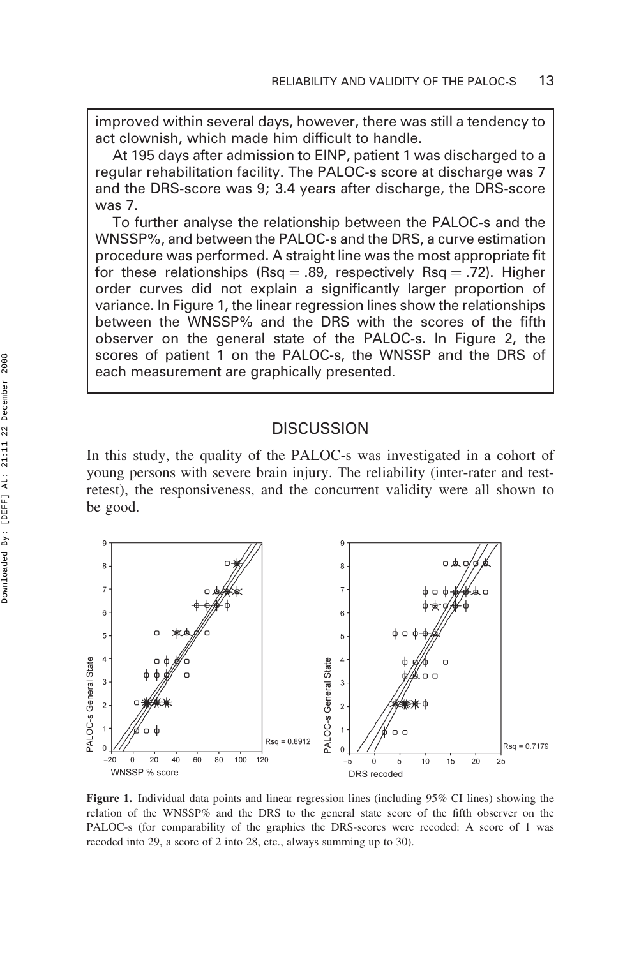improved within several days, however, there was still a tendency to act clownish, which made him difficult to handle.

At 195 days after admission to EINP, patient 1 was discharged to a regular rehabilitation facility. The PALOC-s score at discharge was 7 and the DRS-score was 9; 3.4 years after discharge, the DRS-score was 7.

To further analyse the relationship between the PALOC-s and the WNSSP%, and between the PALOC-s and the DRS, a curve estimation procedure was performed. A straight line was the most appropriate fit for these relationships (Rsq = .89, respectively  $Rsq = .72$ ). Higher order curves did not explain a significantly larger proportion of variance. In Figure 1, the linear regression lines show the relationships between the WNSSP% and the DRS with the scores of the fifth observer on the general state of the PALOC-s. In Figure 2, the scores of patient 1 on the PALOC-s, the WNSSP and the DRS of each measurement are graphically presented.

# **DISCUSSION**

In this study, the quality of the PALOC-s was investigated in a cohort of young persons with severe brain injury. The reliability (inter-rater and testretest), the responsiveness, and the concurrent validity were all shown to be good.



Figure 1. Individual data points and linear regression lines (including 95% CI lines) showing the relation of the WNSSP% and the DRS to the general state score of the fifth observer on the PALOC-s (for comparability of the graphics the DRS-scores were recoded: A score of 1 was recoded into 29, a score of 2 into 28, etc., always summing up to 30).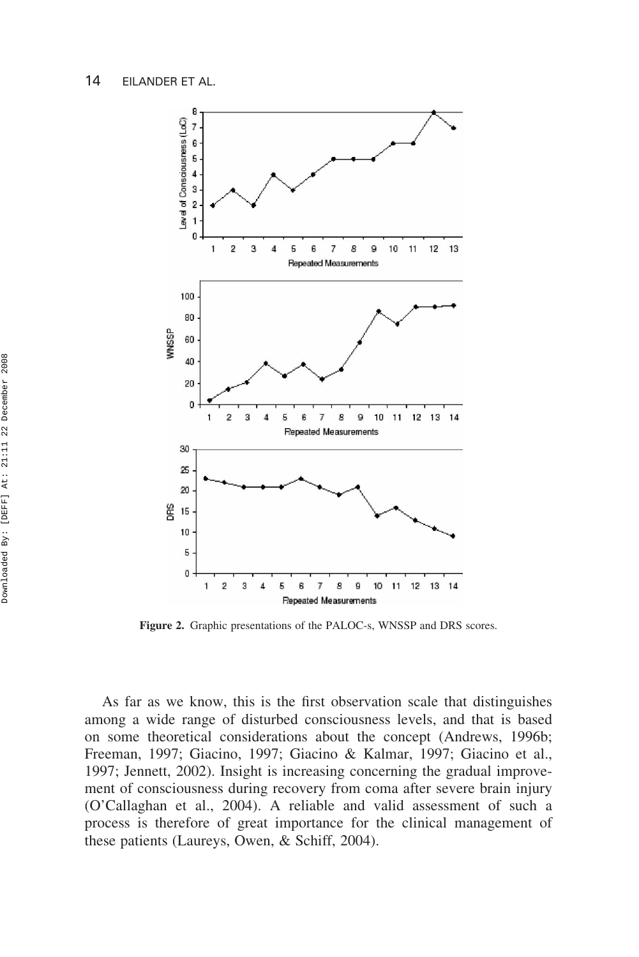

Figure 2. Graphic presentations of the PALOC-s, WNSSP and DRS scores.

As far as we know, this is the first observation scale that distinguishes among a wide range of disturbed consciousness levels, and that is based on some theoretical considerations about the concept (Andrews, 1996b; Freeman, 1997; Giacino, 1997; Giacino & Kalmar, 1997; Giacino et al., 1997; Jennett, 2002). Insight is increasing concerning the gradual improvement of consciousness during recovery from coma after severe brain injury (O'Callaghan et al., 2004). A reliable and valid assessment of such a process is therefore of great importance for the clinical management of these patients (Laureys, Owen, & Schiff, 2004).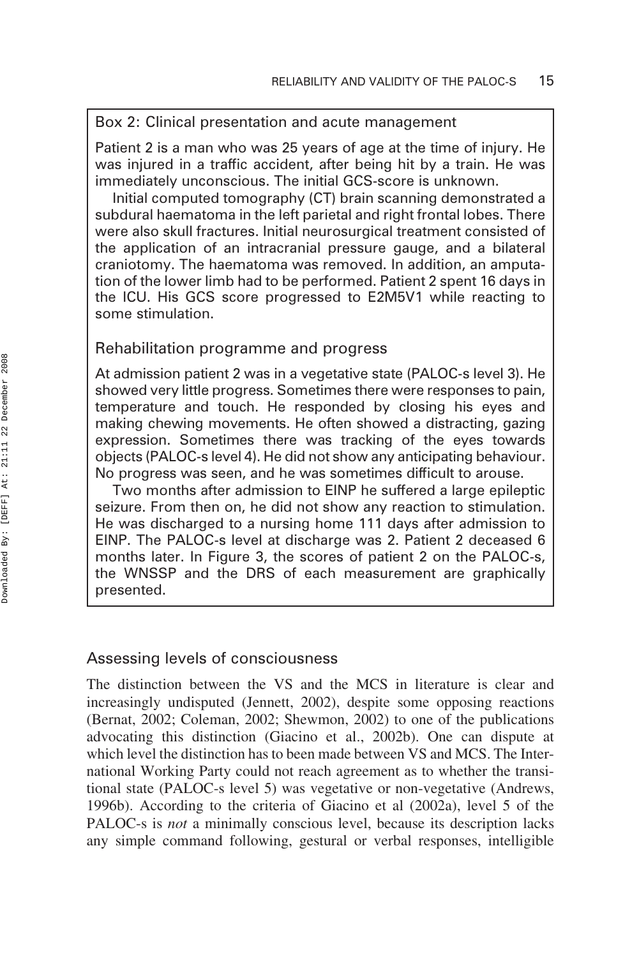### Box 2: Clinical presentation and acute management

Patient 2 is a man who was 25 years of age at the time of injury. He was injured in a traffic accident, after being hit by a train. He was immediately unconscious. The initial GCS-score is unknown.

Initial computed tomography (CT) brain scanning demonstrated a subdural haematoma in the left parietal and right frontal lobes. There were also skull fractures. Initial neurosurgical treatment consisted of the application of an intracranial pressure gauge, and a bilateral craniotomy. The haematoma was removed. In addition, an amputation of the lower limb had to be performed. Patient 2 spent 16 days in the ICU. His GCS score progressed to E2M5V1 while reacting to some stimulation.

# Rehabilitation programme and progress

At admission patient 2 was in a vegetative state (PALOC-s level 3). He showed very little progress. Sometimes there were responses to pain, temperature and touch. He responded by closing his eyes and making chewing movements. He often showed a distracting, gazing expression. Sometimes there was tracking of the eyes towards objects (PALOC-s level 4). He did not show any anticipating behaviour. No progress was seen, and he was sometimes difficult to arouse.

Two months after admission to EINP he suffered a large epileptic seizure. From then on, he did not show any reaction to stimulation. He was discharged to a nursing home 111 days after admission to EINP. The PALOC-s level at discharge was 2. Patient 2 deceased 6 months later. In Figure 3, the scores of patient 2 on the PALOC-s, the WNSSP and the DRS of each measurement are graphically presented.

# Assessing levels of consciousness

The distinction between the VS and the MCS in literature is clear and increasingly undisputed (Jennett, 2002), despite some opposing reactions (Bernat, 2002; Coleman, 2002; Shewmon, 2002) to one of the publications advocating this distinction (Giacino et al., 2002b). One can dispute at which level the distinction has to been made between VS and MCS. The International Working Party could not reach agreement as to whether the transitional state (PALOC-s level 5) was vegetative or non-vegetative (Andrews, 1996b). According to the criteria of Giacino et al (2002a), level 5 of the PALOC-s is not a minimally conscious level, because its description lacks any simple command following, gestural or verbal responses, intelligible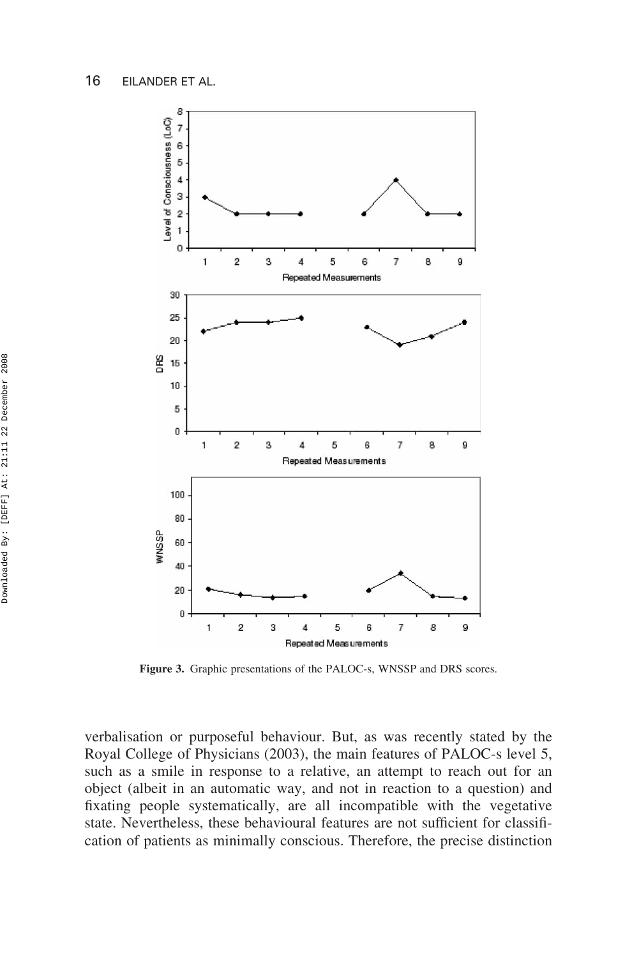

Figure 3. Graphic presentations of the PALOC-s, WNSSP and DRS scores.

verbalisation or purposeful behaviour. But, as was recently stated by the Royal College of Physicians (2003), the main features of PALOC-s level 5, such as a smile in response to a relative, an attempt to reach out for an object (albeit in an automatic way, and not in reaction to a question) and fixating people systematically, are all incompatible with the vegetative state. Nevertheless, these behavioural features are not sufficient for classification of patients as minimally conscious. Therefore, the precise distinction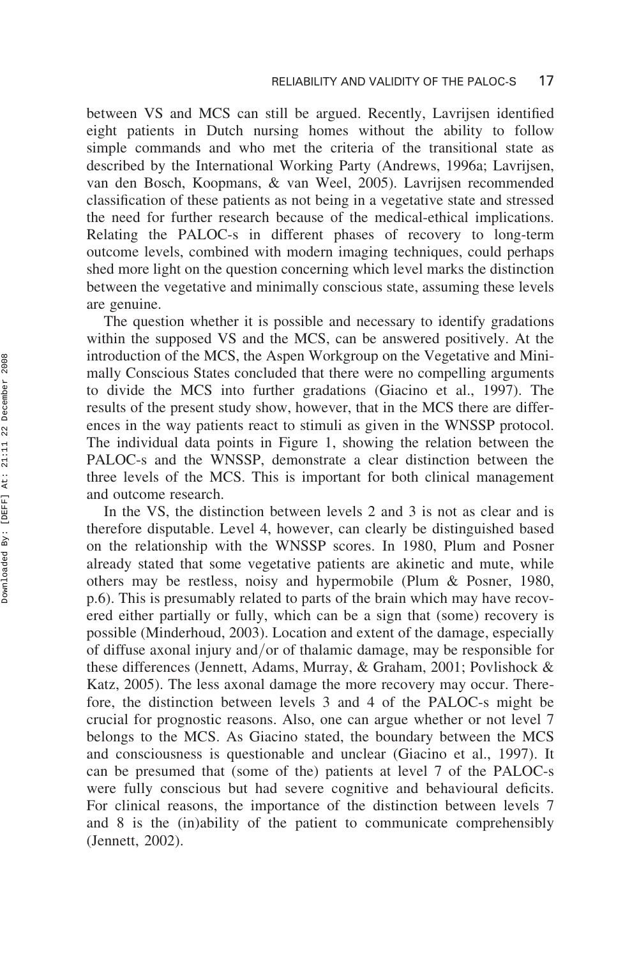between VS and MCS can still be argued. Recently, Lavrijsen identified eight patients in Dutch nursing homes without the ability to follow simple commands and who met the criteria of the transitional state as described by the International Working Party (Andrews, 1996a; Lavrijsen, van den Bosch, Koopmans, & van Weel, 2005). Lavrijsen recommended classification of these patients as not being in a vegetative state and stressed the need for further research because of the medical-ethical implications. Relating the PALOC-s in different phases of recovery to long-term outcome levels, combined with modern imaging techniques, could perhaps shed more light on the question concerning which level marks the distinction between the vegetative and minimally conscious state, assuming these levels are genuine.

The question whether it is possible and necessary to identify gradations within the supposed VS and the MCS, can be answered positively. At the introduction of the MCS, the Aspen Workgroup on the Vegetative and Minimally Conscious States concluded that there were no compelling arguments to divide the MCS into further gradations (Giacino et al., 1997). The results of the present study show, however, that in the MCS there are differences in the way patients react to stimuli as given in the WNSSP protocol. The individual data points in Figure 1, showing the relation between the PALOC-s and the WNSSP, demonstrate a clear distinction between the three levels of the MCS. This is important for both clinical management and outcome research.

In the VS, the distinction between levels 2 and 3 is not as clear and is therefore disputable. Level 4, however, can clearly be distinguished based on the relationship with the WNSSP scores. In 1980, Plum and Posner already stated that some vegetative patients are akinetic and mute, while others may be restless, noisy and hypermobile (Plum & Posner, 1980, p.6). This is presumably related to parts of the brain which may have recovered either partially or fully, which can be a sign that (some) recovery is possible (Minderhoud, 2003). Location and extent of the damage, especially of diffuse axonal injury and/or of thalamic damage, may be responsible for these differences (Jennett, Adams, Murray, & Graham, 2001; Povlishock & Katz, 2005). The less axonal damage the more recovery may occur. Therefore, the distinction between levels 3 and 4 of the PALOC-s might be crucial for prognostic reasons. Also, one can argue whether or not level 7 belongs to the MCS. As Giacino stated, the boundary between the MCS and consciousness is questionable and unclear (Giacino et al., 1997). It can be presumed that (some of the) patients at level 7 of the PALOC-s were fully conscious but had severe cognitive and behavioural deficits. For clinical reasons, the importance of the distinction between levels 7 and 8 is the (in)ability of the patient to communicate comprehensibly (Jennett, 2002).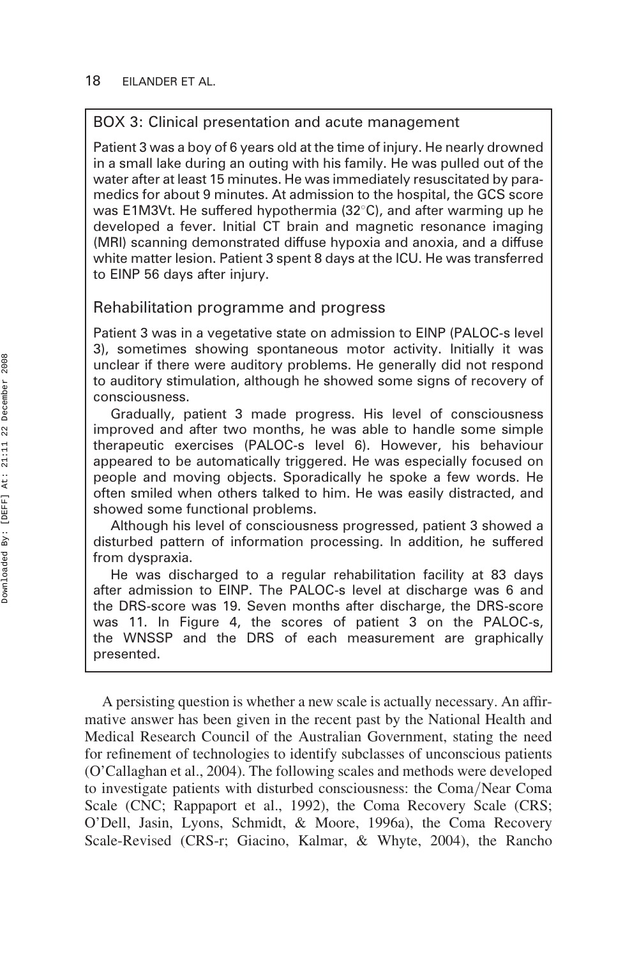# BOX 3: Clinical presentation and acute management

Patient 3 was a boy of 6 years old at the time of injury. He nearly drowned in a small lake during an outing with his family. He was pulled out of the water after at least 15 minutes. He was immediately resuscitated by paramedics for about 9 minutes. At admission to the hospital, the GCS score was E1M3Vt. He suffered hypothermia (32<sup>o</sup>C), and after warming up he developed a fever. Initial CT brain and magnetic resonance imaging (MRI) scanning demonstrated diffuse hypoxia and anoxia, and a diffuse white matter lesion. Patient 3 spent 8 days at the ICU. He was transferred to EINP 56 days after injury.

# Rehabilitation programme and progress

Patient 3 was in a vegetative state on admission to EINP (PALOC-s level 3), sometimes showing spontaneous motor activity. Initially it was unclear if there were auditory problems. He generally did not respond to auditory stimulation, although he showed some signs of recovery of consciousness.

Gradually, patient 3 made progress. His level of consciousness improved and after two months, he was able to handle some simple therapeutic exercises (PALOC-s level 6). However, his behaviour appeared to be automatically triggered. He was especially focused on people and moving objects. Sporadically he spoke a few words. He often smiled when others talked to him. He was easily distracted, and showed some functional problems.

Although his level of consciousness progressed, patient 3 showed a disturbed pattern of information processing. In addition, he suffered from dyspraxia.

He was discharged to a regular rehabilitation facility at 83 days after admission to EINP. The PALOC-s level at discharge was 6 and the DRS-score was 19. Seven months after discharge, the DRS-score was 11. In Figure 4, the scores of patient 3 on the PALOC-s, the WNSSP and the DRS of each measurement are graphically presented.

A persisting question is whether a new scale is actually necessary. An affirmative answer has been given in the recent past by the National Health and Medical Research Council of the Australian Government, stating the need for refinement of technologies to identify subclasses of unconscious patients (O'Callaghan et al., 2004). The following scales and methods were developed to investigate patients with disturbed consciousness: the Coma/Near Coma Scale (CNC; Rappaport et al., 1992), the Coma Recovery Scale (CRS; O'Dell, Jasin, Lyons, Schmidt, & Moore, 1996a), the Coma Recovery Scale-Revised (CRS-r; Giacino, Kalmar, & Whyte, 2004), the Rancho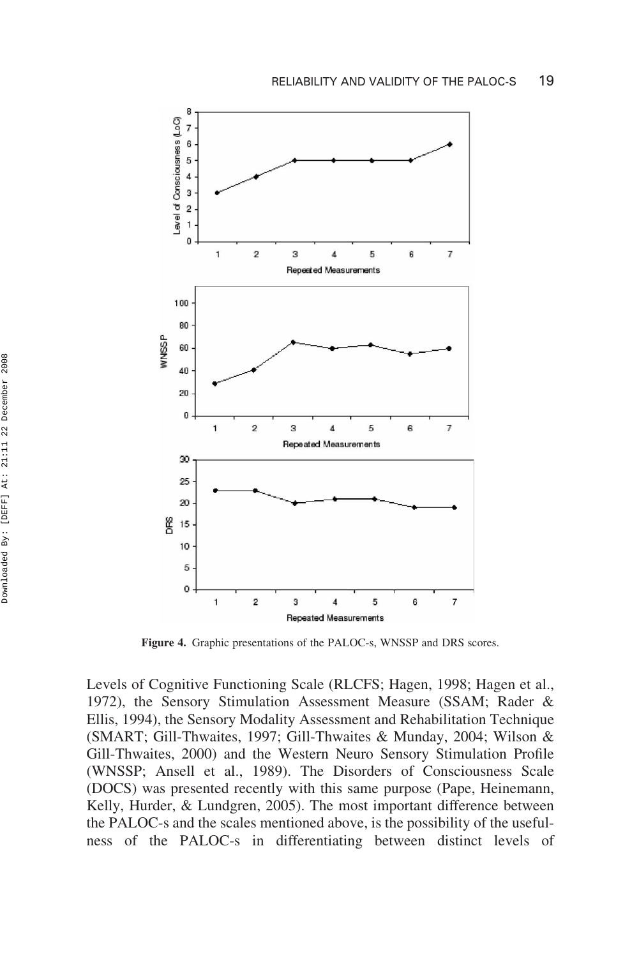

Figure 4. Graphic presentations of the PALOC-s, WNSSP and DRS scores.

Levels of Cognitive Functioning Scale (RLCFS; Hagen, 1998; Hagen et al., 1972), the Sensory Stimulation Assessment Measure (SSAM; Rader & Ellis, 1994), the Sensory Modality Assessment and Rehabilitation Technique (SMART; Gill-Thwaites, 1997; Gill-Thwaites & Munday, 2004; Wilson & Gill-Thwaites, 2000) and the Western Neuro Sensory Stimulation Profile (WNSSP; Ansell et al., 1989). The Disorders of Consciousness Scale (DOCS) was presented recently with this same purpose (Pape, Heinemann, Kelly, Hurder, & Lundgren, 2005). The most important difference between the PALOC-s and the scales mentioned above, is the possibility of the usefulness of the PALOC-s in differentiating between distinct levels of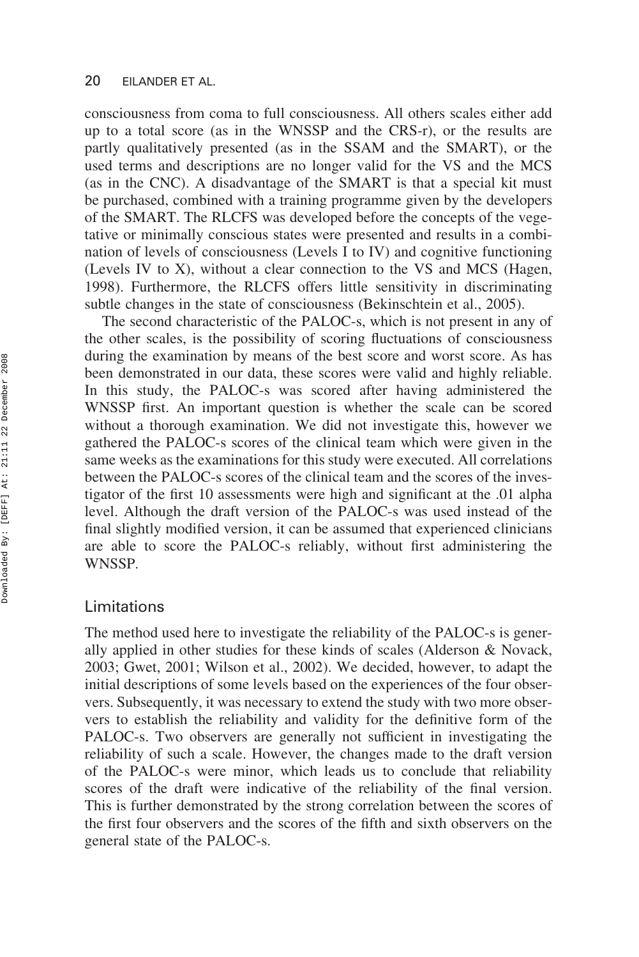### 20 EILANDER ET AL.

consciousness from coma to full consciousness. All others scales either add up to a total score (as in the WNSSP and the CRS-r), or the results are partly qualitatively presented (as in the SSAM and the SMART), or the used terms and descriptions are no longer valid for the VS and the MCS (as in the CNC). A disadvantage of the SMART is that a special kit must be purchased, combined with a training programme given by the developers of the SMART. The RLCFS was developed before the concepts of the vegetative or minimally conscious states were presented and results in a combination of levels of consciousness (Levels I to IV) and cognitive functioning (Levels IV to X), without a clear connection to the VS and MCS (Hagen, 1998). Furthermore, the RLCFS offers little sensitivity in discriminating subtle changes in the state of consciousness (Bekinschtein et al., 2005).

The second characteristic of the PALOC-s, which is not present in any of the other scales, is the possibility of scoring fluctuations of consciousness during the examination by means of the best score and worst score. As has been demonstrated in our data, these scores were valid and highly reliable. In this study, the PALOC-s was scored after having administered the WNSSP first. An important question is whether the scale can be scored without a thorough examination. We did not investigate this, however we gathered the PALOC-s scores of the clinical team which were given in the same weeks as the examinations for this study were executed. All correlations between the PALOC-s scores of the clinical team and the scores of the investigator of the first 10 assessments were high and significant at the .01 alpha level. Although the draft version of the PALOC-s was used instead of the final slightly modified version, it can be assumed that experienced clinicians are able to score the PALOC-s reliably, without first administering the WNSSP.

### Limitations

The method used here to investigate the reliability of the PALOC-s is generally applied in other studies for these kinds of scales (Alderson & Novack, 2003; Gwet, 2001; Wilson et al., 2002). We decided, however, to adapt the initial descriptions of some levels based on the experiences of the four observers. Subsequently, it was necessary to extend the study with two more observers to establish the reliability and validity for the definitive form of the PALOC-s. Two observers are generally not sufficient in investigating the reliability of such a scale. However, the changes made to the draft version of the PALOC-s were minor, which leads us to conclude that reliability scores of the draft were indicative of the reliability of the final version. This is further demonstrated by the strong correlation between the scores of the first four observers and the scores of the fifth and sixth observers on the general state of the PALOC-s.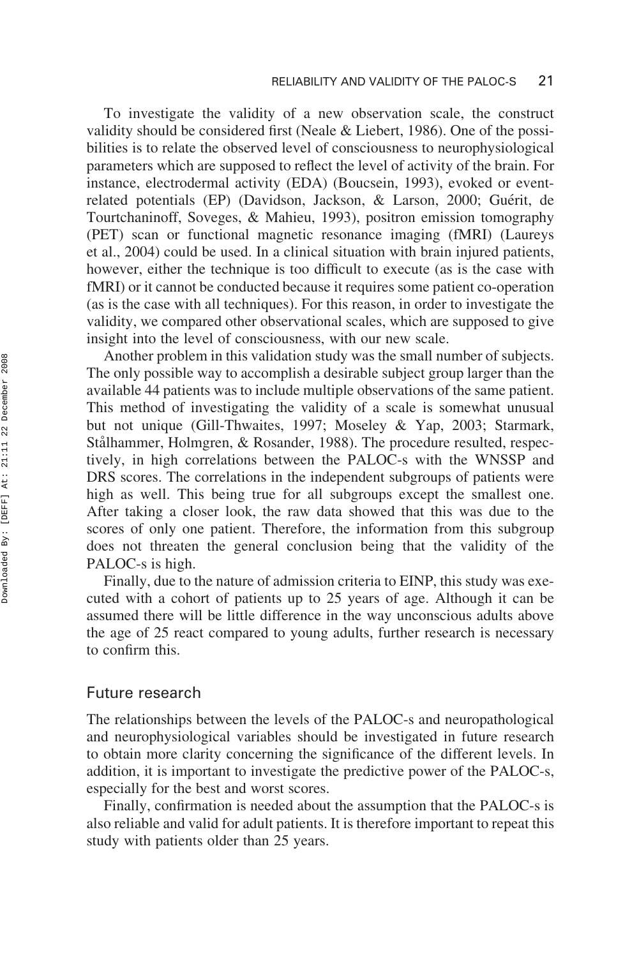To investigate the validity of a new observation scale, the construct validity should be considered first (Neale & Liebert, 1986). One of the possibilities is to relate the observed level of consciousness to neurophysiological parameters which are supposed to reflect the level of activity of the brain. For instance, electrodermal activity (EDA) (Boucsein, 1993), evoked or eventrelated potentials (EP) (Davidson, Jackson, & Larson, 2000; Guérit, de Tourtchaninoff, Soveges, & Mahieu, 1993), positron emission tomography (PET) scan or functional magnetic resonance imaging (fMRI) (Laureys et al., 2004) could be used. In a clinical situation with brain injured patients, however, either the technique is too difficult to execute (as is the case with fMRI) or it cannot be conducted because it requires some patient co-operation (as is the case with all techniques). For this reason, in order to investigate the validity, we compared other observational scales, which are supposed to give insight into the level of consciousness, with our new scale.

Another problem in this validation study was the small number of subjects. The only possible way to accomplish a desirable subject group larger than the available 44 patients was to include multiple observations of the same patient. This method of investigating the validity of a scale is somewhat unusual but not unique (Gill-Thwaites, 1997; Moseley & Yap, 2003; Starmark, Stålhammer, Holmgren, & Rosander, 1988). The procedure resulted, respectively, in high correlations between the PALOC-s with the WNSSP and DRS scores. The correlations in the independent subgroups of patients were high as well. This being true for all subgroups except the smallest one. After taking a closer look, the raw data showed that this was due to the scores of only one patient. Therefore, the information from this subgroup does not threaten the general conclusion being that the validity of the PALOC-s is high.

Finally, due to the nature of admission criteria to EINP, this study was executed with a cohort of patients up to 25 years of age. Although it can be assumed there will be little difference in the way unconscious adults above the age of 25 react compared to young adults, further research is necessary to confirm this.

### Future research

The relationships between the levels of the PALOC-s and neuropathological and neurophysiological variables should be investigated in future research to obtain more clarity concerning the significance of the different levels. In addition, it is important to investigate the predictive power of the PALOC-s, especially for the best and worst scores.

Finally, confirmation is needed about the assumption that the PALOC-s is also reliable and valid for adult patients. It is therefore important to repeat this study with patients older than 25 years.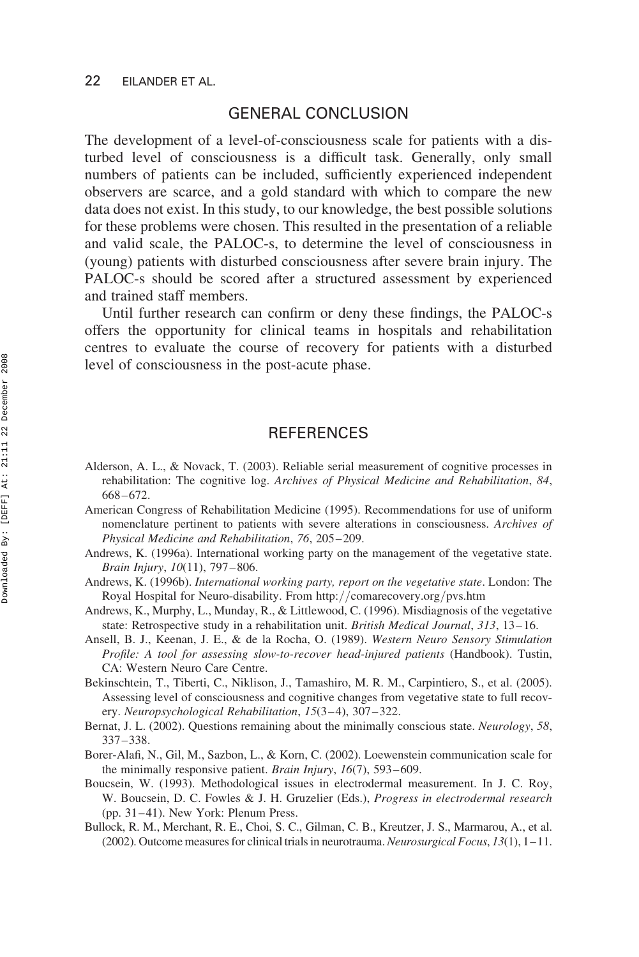# GENERAL CONCLUSION

The development of a level-of-consciousness scale for patients with a disturbed level of consciousness is a difficult task. Generally, only small numbers of patients can be included, sufficiently experienced independent observers are scarce, and a gold standard with which to compare the new data does not exist. In this study, to our knowledge, the best possible solutions for these problems were chosen. This resulted in the presentation of a reliable and valid scale, the PALOC-s, to determine the level of consciousness in (young) patients with disturbed consciousness after severe brain injury. The PALOC-s should be scored after a structured assessment by experienced and trained staff members.

Until further research can confirm or deny these findings, the PALOC-s offers the opportunity for clinical teams in hospitals and rehabilitation centres to evaluate the course of recovery for patients with a disturbed level of consciousness in the post-acute phase.

# **REFERENCES**

- Alderson, A. L., & Novack, T. (2003). Reliable serial measurement of cognitive processes in rehabilitation: The cognitive log. Archives of Physical Medicine and Rehabilitation, 84, 668–672.
- American Congress of Rehabilitation Medicine (1995). Recommendations for use of uniform nomenclature pertinent to patients with severe alterations in consciousness. Archives of Physical Medicine and Rehabilitation, 76, 205–209.
- Andrews, K. (1996a). International working party on the management of the vegetative state. Brain Injury, 10(11), 797–806.
- Andrews, K. (1996b). International working party, report on the vegetative state. London: The Royal Hospital for Neuro-disability. From http://comarecovery.org/pvs.htm

Andrews, K., Murphy, L., Munday, R., & Littlewood, C. (1996). Misdiagnosis of the vegetative state: Retrospective study in a rehabilitation unit. British Medical Journal, 313, 13–16.

- Ansell, B. J., Keenan, J. E., & de la Rocha, O. (1989). Western Neuro Sensory Stimulation Profile: A tool for assessing slow-to-recover head-injured patients (Handbook). Tustin, CA: Western Neuro Care Centre.
- Bekinschtein, T., Tiberti, C., Niklison, J., Tamashiro, M. R. M., Carpintiero, S., et al. (2005). Assessing level of consciousness and cognitive changes from vegetative state to full recovery. Neuropsychological Rehabilitation, 15(3–4), 307–322.
- Bernat, J. L. (2002). Questions remaining about the minimally conscious state. Neurology, 58, 337–338.
- Borer-Alafi, N., Gil, M., Sazbon, L., & Korn, C. (2002). Loewenstein communication scale for the minimally responsive patient. Brain Injury, 16(7), 593-609.
- Boucsein, W. (1993). Methodological issues in electrodermal measurement. In J. C. Roy, W. Boucsein, D. C. Fowles & J. H. Gruzelier (Eds.), Progress in electrodermal research (pp. 31–41). New York: Plenum Press.
- Bullock, R. M., Merchant, R. E., Choi, S. C., Gilman, C. B., Kreutzer, J. S., Marmarou, A., et al. (2002). Outcome measures for clinical trials in neurotrauma. Neurosurgical Focus,  $13(1)$ ,  $1-11$ .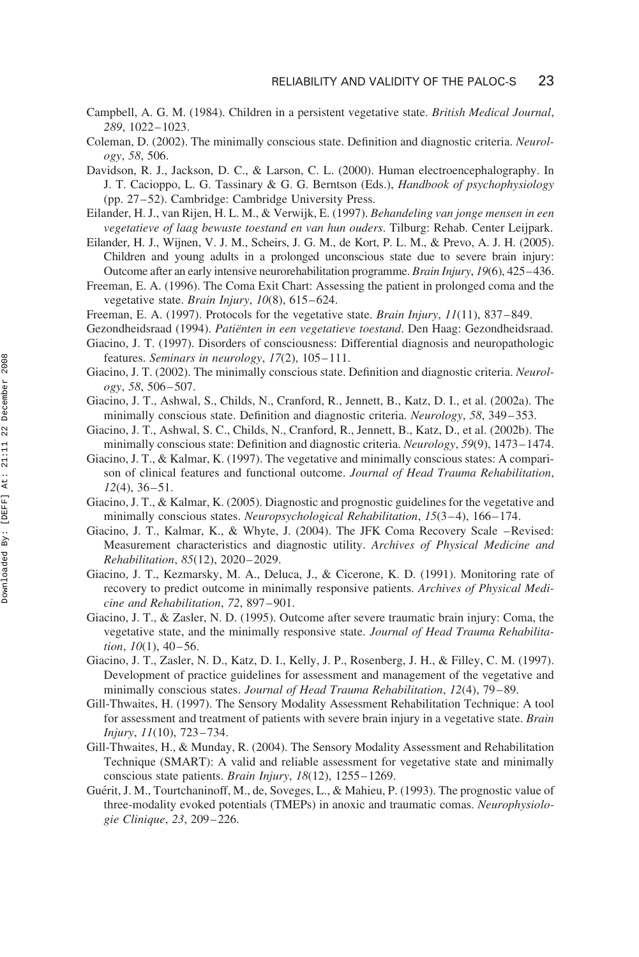- Campbell, A. G. M. (1984). Children in a persistent vegetative state. British Medical Journal, 289, 1022–1023.
- Coleman, D. (2002). The minimally conscious state. Definition and diagnostic criteria. Neurology, 58, 506.
- Davidson, R. J., Jackson, D. C., & Larson, C. L. (2000). Human electroencephalography. In J. T. Cacioppo, L. G. Tassinary & G. G. Berntson (Eds.), Handbook of psychophysiology (pp. 27–52). Cambridge: Cambridge University Press.
- Eilander, H. J., van Rijen, H. L. M., & Verwijk, E. (1997). Behandeling van jonge mensen in een vegetatieve of laag bewuste toestand en van hun ouders. Tilburg: Rehab. Center Leijpark.
- Eilander, H. J., Wijnen, V. J. M., Scheirs, J. G. M., de Kort, P. L. M., & Prevo, A. J. H. (2005). Children and young adults in a prolonged unconscious state due to severe brain injury: Outcome after an early intensive neurorehabilitation programme. Brain Injury, 19(6), 425–436.
- Freeman, E. A. (1996). The Coma Exit Chart: Assessing the patient in prolonged coma and the vegetative state. Brain Injury, 10(8), 615-624.
- Freeman, E. A. (1997). Protocols for the vegetative state. Brain Injury, 11(11), 837–849.
- Gezondheidsraad (1994). Patiënten in een vegetatieve toestand. Den Haag: Gezondheidsraad.
- Giacino, J. T. (1997). Disorders of consciousness: Differential diagnosis and neuropathologic features. Seminars in neurology, 17(2), 105-111.
- Giacino, J. T. (2002). The minimally conscious state. Definition and diagnostic criteria. Neurology, 58, 506–507.
- Giacino, J. T., Ashwal, S., Childs, N., Cranford, R., Jennett, B., Katz, D. I., et al. (2002a). The minimally conscious state. Definition and diagnostic criteria. Neurology, 58, 349–353.
- Giacino, J. T., Ashwal, S. C., Childs, N., Cranford, R., Jennett, B., Katz, D., et al. (2002b). The minimally conscious state: Definition and diagnostic criteria. Neurology, 59(9), 1473–1474.
- Giacino, J. T., & Kalmar, K. (1997). The vegetative and minimally conscious states: A comparison of clinical features and functional outcome. Journal of Head Trauma Rehabilitation, 12(4), 36–51.
- Giacino, J. T., & Kalmar, K. (2005). Diagnostic and prognostic guidelines for the vegetative and minimally conscious states. Neuropsychological Rehabilitation, 15(3-4), 166-174.
- Giacino, J. T., Kalmar, K., & Whyte, J. (2004). The JFK Coma Recovery Scale –Revised: Measurement characteristics and diagnostic utility. Archives of Physical Medicine and Rehabilitation, 85(12), 2020–2029.
- Giacino, J. T., Kezmarsky, M. A., Deluca, J., & Cicerone, K. D. (1991). Monitoring rate of recovery to predict outcome in minimally responsive patients. Archives of Physical Medicine and Rehabilitation, 72, 897–901.
- Giacino, J. T., & Zasler, N. D. (1995). Outcome after severe traumatic brain injury: Coma, the vegetative state, and the minimally responsive state. Journal of Head Trauma Rehabilitation, 10(1), 40-56.
- Giacino, J. T., Zasler, N. D., Katz, D. I., Kelly, J. P., Rosenberg, J. H., & Filley, C. M. (1997). Development of practice guidelines for assessment and management of the vegetative and minimally conscious states. Journal of Head Trauma Rehabilitation, 12(4), 79–89.
- Gill-Thwaites, H. (1997). The Sensory Modality Assessment Rehabilitation Technique: A tool for assessment and treatment of patients with severe brain injury in a vegetative state. Brain Injury, 11(10), 723–734.
- Gill-Thwaites, H., & Munday, R. (2004). The Sensory Modality Assessment and Rehabilitation Technique (SMART): A valid and reliable assessment for vegetative state and minimally conscious state patients. Brain Injury, 18(12), 1255-1269.
- Guérit, J. M., Tourtchaninoff, M., de, Soveges, L., & Mahieu, P. (1993). The prognostic value of three-modality evoked potentials (TMEPs) in anoxic and traumatic comas. Neurophysiologie Clinique, 23, 209–226.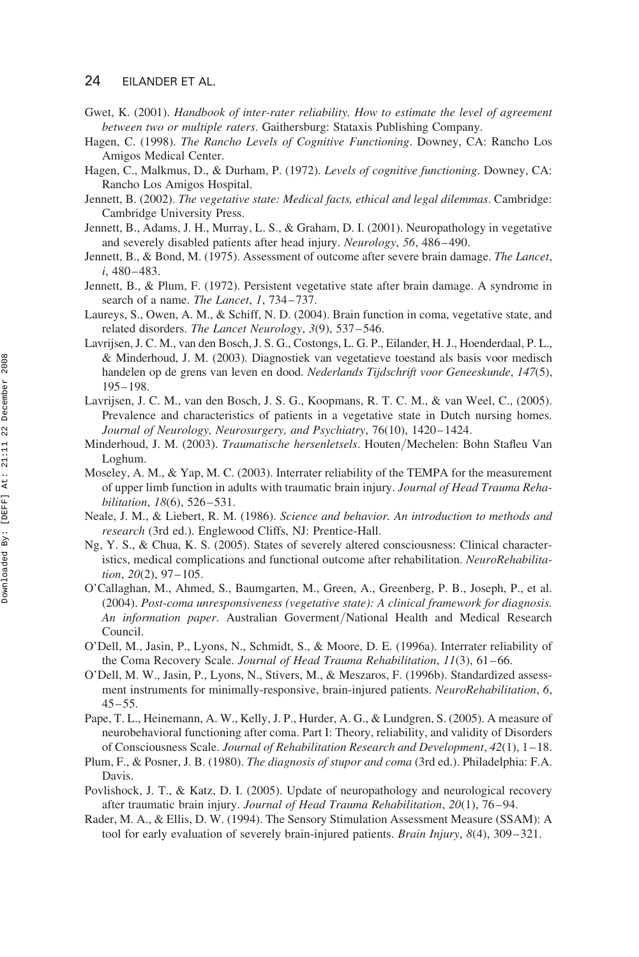### 24 EILANDER ET AL.

- Gwet, K. (2001). Handbook of inter-rater reliability. How to estimate the level of agreement between two or multiple raters. Gaithersburg: Stataxis Publishing Company.
- Hagen, C. (1998). The Rancho Levels of Cognitive Functioning. Downey, CA: Rancho Los Amigos Medical Center.
- Hagen, C., Malkmus, D., & Durham, P. (1972). Levels of cognitive functioning. Downey, CA: Rancho Los Amigos Hospital.
- Jennett, B. (2002). The vegetative state: Medical facts, ethical and legal dilemmas. Cambridge: Cambridge University Press.
- Jennett, B., Adams, J. H., Murray, L. S., & Graham, D. I. (2001). Neuropathology in vegetative and severely disabled patients after head injury. Neurology, 56, 486–490.
- Jennett, B., & Bond, M. (1975). Assessment of outcome after severe brain damage. The Lancet, i, 480–483.
- Jennett, B., & Plum, F. (1972). Persistent vegetative state after brain damage. A syndrome in search of a name. The Lancet, 1, 734-737.
- Laureys, S., Owen, A. M., & Schiff, N. D. (2004). Brain function in coma, vegetative state, and related disorders. The Lancet Neurology, 3(9), 537-546.
- Lavrijsen, J. C. M., van den Bosch, J. S. G., Costongs, L. G. P., Eilander, H. J., Hoenderdaal, P. L., & Minderhoud, J. M. (2003). Diagnostiek van vegetatieve toestand als basis voor medisch handelen op de grens van leven en dood. Nederlands Tijdschrift voor Geneeskunde, 147(5), 195–198.
- Lavrijsen, J. C. M., van den Bosch, J. S. G., Koopmans, R. T. C. M., & van Weel, C., (2005). Prevalence and characteristics of patients in a vegetative state in Dutch nursing homes. Journal of Neurology, Neurosurgery, and Psychiatry, 76(10), 1420–1424.
- Minderhoud, J. M. (2003). Traumatische hersenletsels. Houten/Mechelen: Bohn Stafleu Van Loghum.
- Moseley, A. M., & Yap, M. C. (2003). Interrater reliability of the TEMPA for the measurement of upper limb function in adults with traumatic brain injury. Journal of Head Trauma Rehabilitation, 18(6), 526–531.
- Neale, J. M., & Liebert, R. M. (1986). Science and behavior. An introduction to methods and research (3rd ed.). Englewood Cliffs, NJ: Prentice-Hall.
- Ng, Y. S., & Chua, K. S. (2005). States of severely altered consciousness: Clinical characteristics, medical complications and functional outcome after rehabilitation. NeuroRehabilitation, 20(2), 97–105.
- O'Callaghan, M., Ahmed, S., Baumgarten, M., Green, A., Greenberg, P. B., Joseph, P., et al. (2004). Post-coma unresponsiveness (vegetative state): A clinical framework for diagnosis. An information paper. Australian Goverment/National Health and Medical Research Council.
- O'Dell, M., Jasin, P., Lyons, N., Schmidt, S., & Moore, D. E. (1996a). Interrater reliability of the Coma Recovery Scale. Journal of Head Trauma Rehabilitation, 11(3), 61-66.
- O'Dell, M. W., Jasin, P., Lyons, N., Stivers, M., & Meszaros, F. (1996b). Standardized assessment instruments for minimally-responsive, brain-injured patients. NeuroRehabilitation, 6,  $45 - 55$ .
- Pape, T. L., Heinemann, A. W., Kelly, J. P., Hurder, A. G., & Lundgren, S. (2005). A measure of neurobehavioral functioning after coma. Part I: Theory, reliability, and validity of Disorders of Consciousness Scale. Journal of Rehabilitation Research and Development, 42(1), 1–18.
- Plum, F., & Posner, J. B. (1980). The diagnosis of stupor and coma (3rd ed.). Philadelphia: F.A. Davis.
- Povlishock, J. T., & Katz, D. I. (2005). Update of neuropathology and neurological recovery after traumatic brain injury. Journal of Head Trauma Rehabilitation, 20(1), 76–94.
- Rader, M. A., & Ellis, D. W. (1994). The Sensory Stimulation Assessment Measure (SSAM): A tool for early evaluation of severely brain-injured patients. *Brain Injury*, 8(4), 309–321.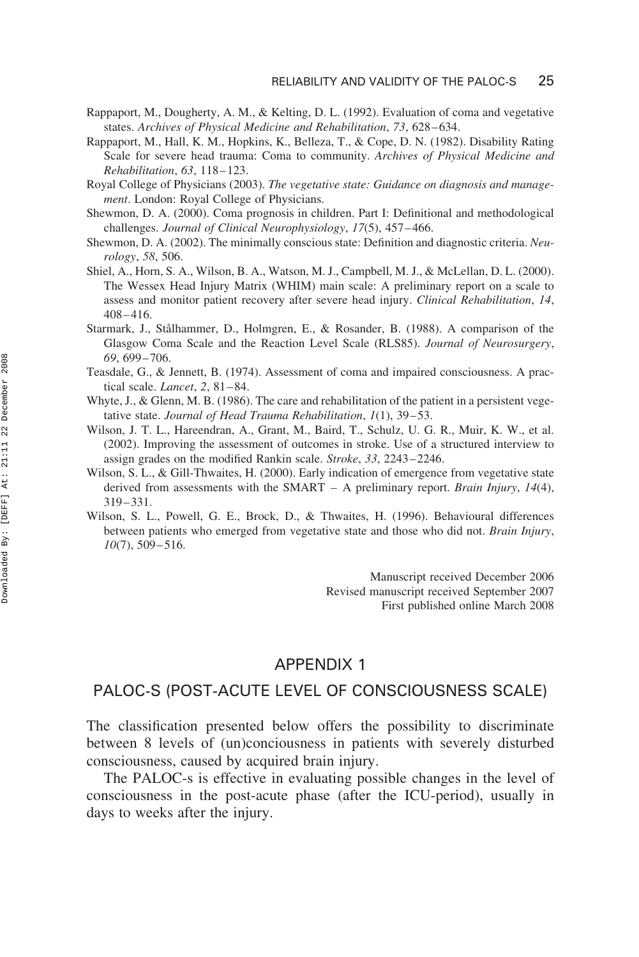- Rappaport, M., Dougherty, A. M., & Kelting, D. L. (1992). Evaluation of coma and vegetative states. Archives of Physical Medicine and Rehabilitation, 73, 628–634.
- Rappaport, M., Hall, K. M., Hopkins, K., Belleza, T., & Cope, D. N. (1982). Disability Rating Scale for severe head trauma: Coma to community. Archives of Physical Medicine and Rehabilitation, 63, 118–123.
- Royal College of Physicians (2003). The vegetative state: Guidance on diagnosis and management. London: Royal College of Physicians.
- Shewmon, D. A. (2000). Coma prognosis in children. Part I: Definitional and methodological challenges. Journal of Clinical Neurophysiology, 17(5), 457–466.
- Shewmon, D. A. (2002). The minimally conscious state: Definition and diagnostic criteria. Neurology, 58, 506.
- Shiel, A., Horn, S. A., Wilson, B. A., Watson, M. J., Campbell, M. J., & McLellan, D. L. (2000). The Wessex Head Injury Matrix (WHIM) main scale: A preliminary report on a scale to assess and monitor patient recovery after severe head injury. Clinical Rehabilitation, 14, 408–416.
- Starmark, J., Stålhammer, D., Holmgren, E., & Rosander, B. (1988). A comparison of the Glasgow Coma Scale and the Reaction Level Scale (RLS85). Journal of Neurosurgery, 69, 699–706.
- Teasdale, G., & Jennett, B. (1974). Assessment of coma and impaired consciousness. A practical scale. Lancet, 2, 81-84.
- Whyte, J., & Glenn, M. B. (1986). The care and rehabilitation of the patient in a persistent vegetative state. Journal of Head Trauma Rehabilitation, 1(1), 39–53.
- Wilson, J. T. L., Hareendran, A., Grant, M., Baird, T., Schulz, U. G. R., Muir, K. W., et al. (2002). Improving the assessment of outcomes in stroke. Use of a structured interview to assign grades on the modified Rankin scale. Stroke, 33, 2243–2246.
- Wilson, S. L., & Gill-Thwaites, H. (2000). Early indication of emergence from vegetative state derived from assessments with the SMART – A preliminary report. *Brain Injury*,  $14(4)$ , 319–331.
- Wilson, S. L., Powell, G. E., Brock, D., & Thwaites, H. (1996). Behavioural differences between patients who emerged from vegetative state and those who did not. Brain Injury,  $10(7)$ , 509–516.

Manuscript received December 2006 Revised manuscript received September 2007 First published online March 2008

# APPENDIX 1

### PALOC-S (POST-ACUTE LEVEL OF CONSCIOUSNESS SCALE)

The classification presented below offers the possibility to discriminate between 8 levels of (un)conciousness in patients with severely disturbed consciousness, caused by acquired brain injury.

The PALOC-s is effective in evaluating possible changes in the level of consciousness in the post-acute phase (after the ICU-period), usually in days to weeks after the injury.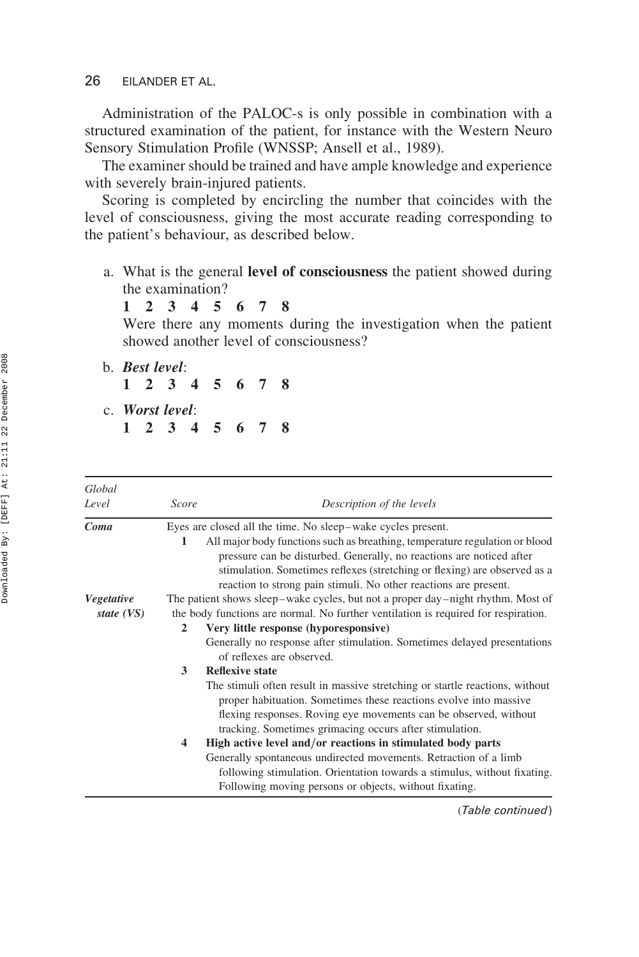Administration of the PALOC-s is only possible in combination with a structured examination of the patient, for instance with the Western Neuro Sensory Stimulation Profile (WNSSP; Ansell et al., 1989).

The examiner should be trained and have ample knowledge and experience with severely brain-injured patients.

Scoring is completed by encircling the number that coincides with the level of consciousness, giving the most accurate reading corresponding to the patient's behaviour, as described below.

a. What is the general level of consciousness the patient showed during the examination?

### 12345678

Were there any moments during the investigation when the patient showed another level of consciousness?

b. Best level: 12345678 c. Worst level: 12345678

| Global     |       |                                                                                    |
|------------|-------|------------------------------------------------------------------------------------|
| Level      | Score | Description of the levels                                                          |
| Coma       |       | Eyes are closed all the time. No sleep-wake cycles present.                        |
|            | 1     | All major body functions such as breathing, temperature regulation or blood        |
|            |       | pressure can be disturbed. Generally, no reactions are noticed after               |
|            |       | stimulation. Sometimes reflexes (stretching or flexing) are observed as a          |
|            |       | reaction to strong pain stimuli. No other reactions are present.                   |
| Vegetative |       | The patient shows sleep-wake cycles, but not a proper day-night rhythm. Most of    |
| state (VS) |       | the body functions are normal. No further ventilation is required for respiration. |
|            | 2     | Very little response (hyporesponsive)                                              |
|            |       | Generally no response after stimulation. Sometimes delayed presentations           |
|            |       | of reflexes are observed.                                                          |
|            | 3     | <b>Reflexive state</b>                                                             |
|            |       | The stimuli often result in massive stretching or startle reactions, without       |
|            |       | proper habituation. Sometimes these reactions evolve into massive                  |
|            |       | flexing responses. Roving eye movements can be observed, without                   |
|            |       | tracking. Sometimes grimacing occurs after stimulation.                            |
|            | 4     | High active level and/or reactions in stimulated body parts                        |
|            |       | Generally spontaneous undirected movements. Retraction of a limb                   |
|            |       | following stimulation. Orientation towards a stimulus, without fixating.           |
|            |       | Following moving persons or objects, without fixating.                             |

(Table continued)